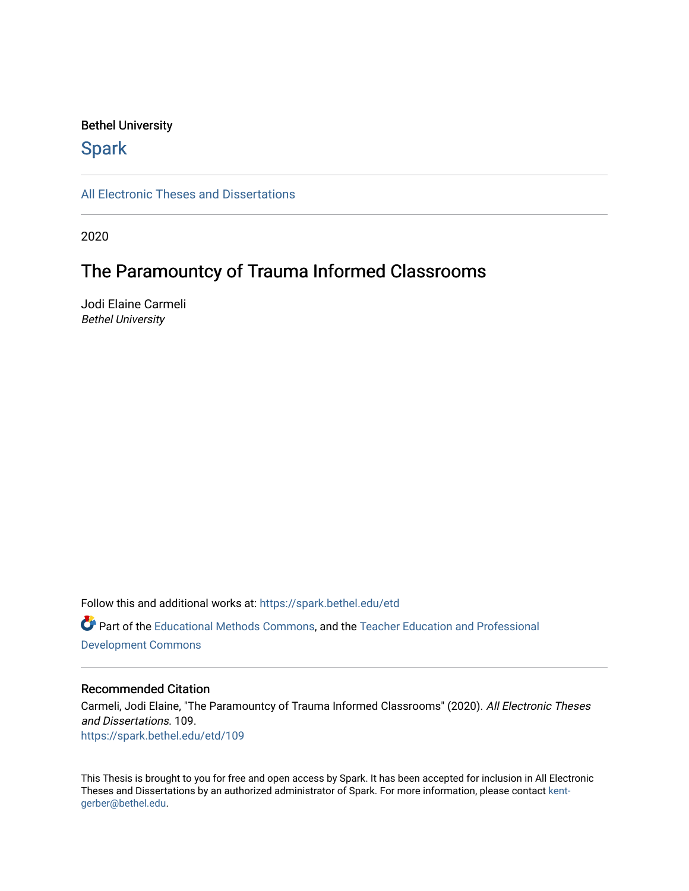### Bethel University

# **Spark**

[All Electronic Theses and Dissertations](https://spark.bethel.edu/etd) 

2020

# The Paramountcy of Trauma Informed Classrooms

Jodi Elaine Carmeli Bethel University

Follow this and additional works at: [https://spark.bethel.edu/etd](https://spark.bethel.edu/etd?utm_source=spark.bethel.edu%2Fetd%2F109&utm_medium=PDF&utm_campaign=PDFCoverPages) Part of the [Educational Methods Commons,](http://network.bepress.com/hgg/discipline/1227?utm_source=spark.bethel.edu%2Fetd%2F109&utm_medium=PDF&utm_campaign=PDFCoverPages) and the [Teacher Education and Professional](http://network.bepress.com/hgg/discipline/803?utm_source=spark.bethel.edu%2Fetd%2F109&utm_medium=PDF&utm_campaign=PDFCoverPages)  [Development Commons](http://network.bepress.com/hgg/discipline/803?utm_source=spark.bethel.edu%2Fetd%2F109&utm_medium=PDF&utm_campaign=PDFCoverPages) 

### Recommended Citation

Carmeli, Jodi Elaine, "The Paramountcy of Trauma Informed Classrooms" (2020). All Electronic Theses and Dissertations. 109. [https://spark.bethel.edu/etd/109](https://spark.bethel.edu/etd/109?utm_source=spark.bethel.edu%2Fetd%2F109&utm_medium=PDF&utm_campaign=PDFCoverPages)

This Thesis is brought to you for free and open access by Spark. It has been accepted for inclusion in All Electronic Theses and Dissertations by an authorized administrator of Spark. For more information, please contact [kent](mailto:kent-gerber@bethel.edu)[gerber@bethel.edu.](mailto:kent-gerber@bethel.edu)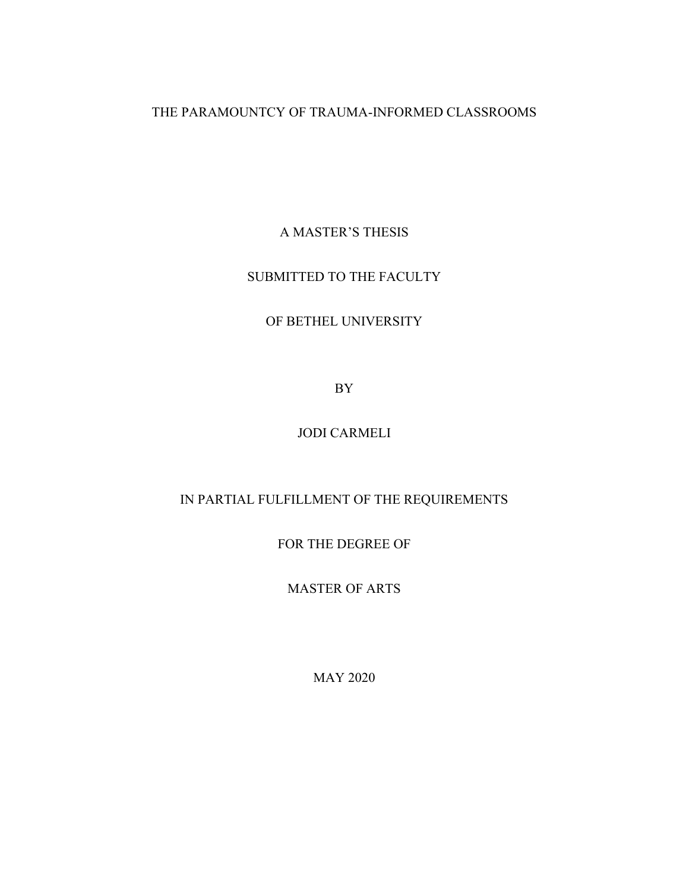THE PARAMOUNTCY OF TRAUMA-INFORMED CLASSROOMS

A MASTER'S THESIS

# SUBMITTED TO THE FACULTY

# OF BETHEL UNIVERSITY

BY

# JODI CARMELI

# IN PARTIAL FULFILLMENT OF THE REQUIREMENTS

FOR THE DEGREE OF

MASTER OF ARTS

MAY 2020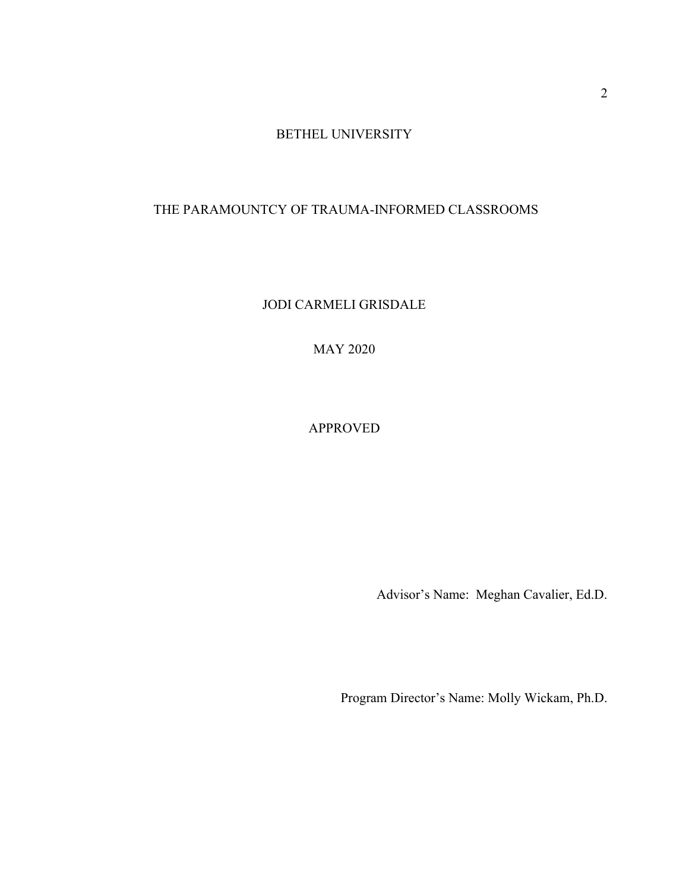BETHEL UNIVERSITY

# THE PARAMOUNTCY OF TRAUMA-INFORMED CLASSROOMS

JODI CARMELI GRISDALE

MAY 2020

APPROVED

Advisor's Name: Meghan Cavalier, Ed.D.

Program Director's Name: Molly Wickam, Ph.D.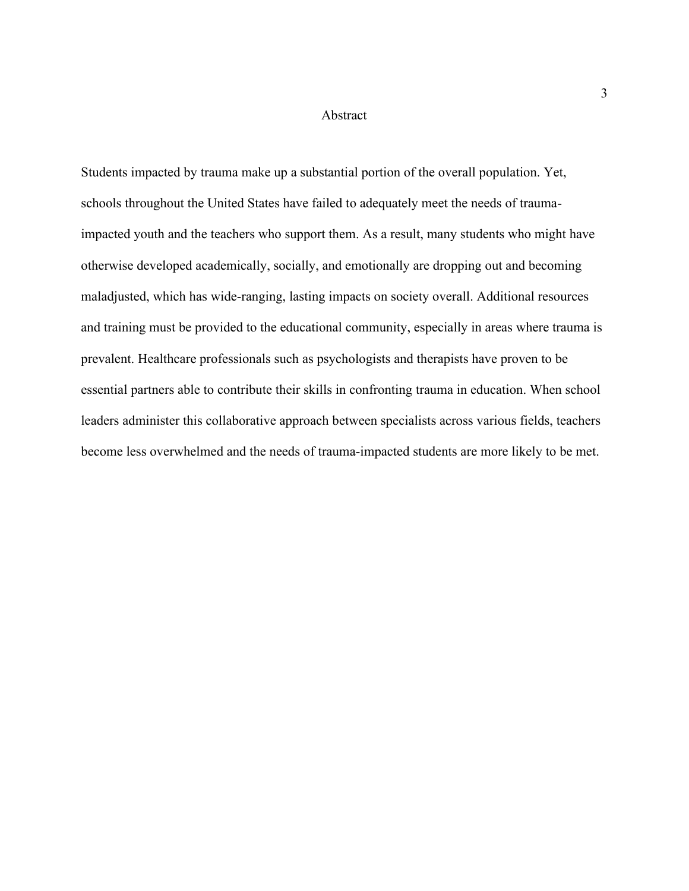#### Abstract

Students impacted by trauma make up a substantial portion of the overall population. Yet, schools throughout the United States have failed to adequately meet the needs of traumaimpacted youth and the teachers who support them. As a result, many students who might have otherwise developed academically, socially, and emotionally are dropping out and becoming maladjusted, which has wide-ranging, lasting impacts on society overall. Additional resources and training must be provided to the educational community, especially in areas where trauma is prevalent. Healthcare professionals such as psychologists and therapists have proven to be essential partners able to contribute their skills in confronting trauma in education. When school leaders administer this collaborative approach between specialists across various fields, teachers become less overwhelmed and the needs of trauma-impacted students are more likely to be met.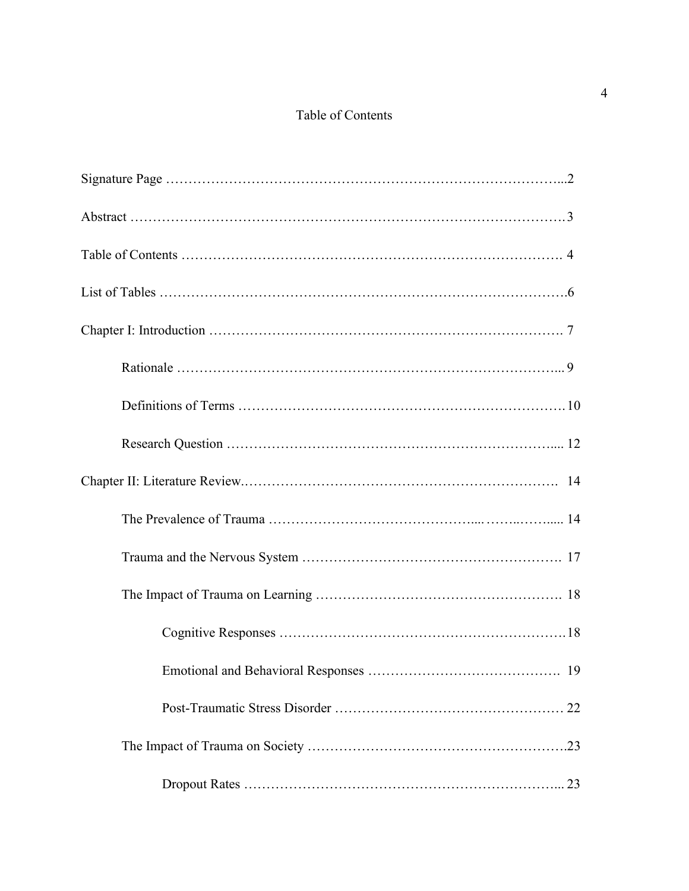# Table of Contents

| 19 |
|----|
|    |
|    |
|    |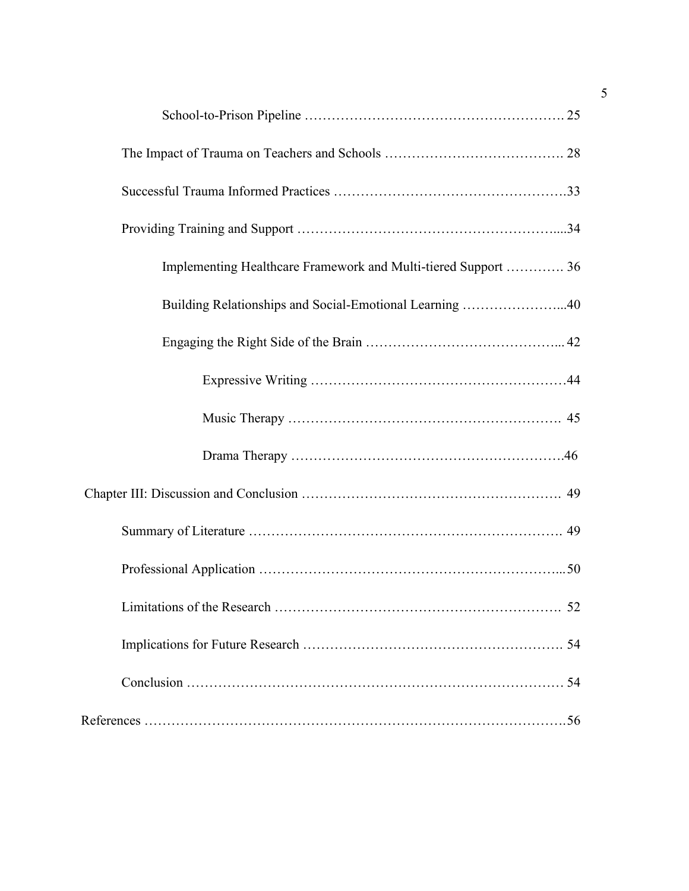| Implementing Healthcare Framework and Multi-tiered Support  36 |
|----------------------------------------------------------------|
| Building Relationships and Social-Emotional Learning 40        |
|                                                                |
|                                                                |
|                                                                |
|                                                                |
|                                                                |
|                                                                |
|                                                                |
| 52<br>Limitations of the Research                              |
|                                                                |
|                                                                |
|                                                                |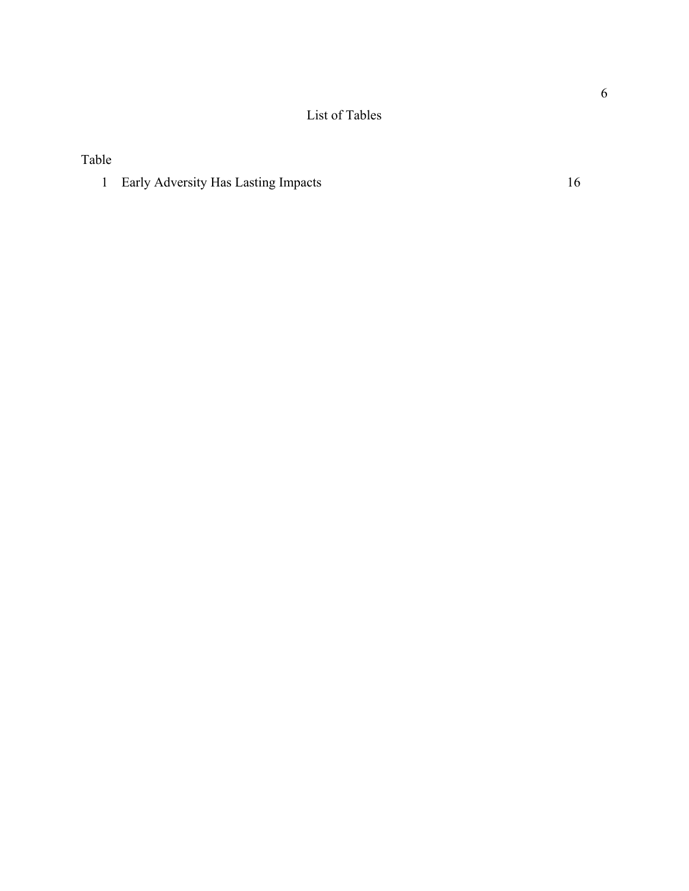List of Tables

Table

1 Early Adversity Has Lasting Impacts 16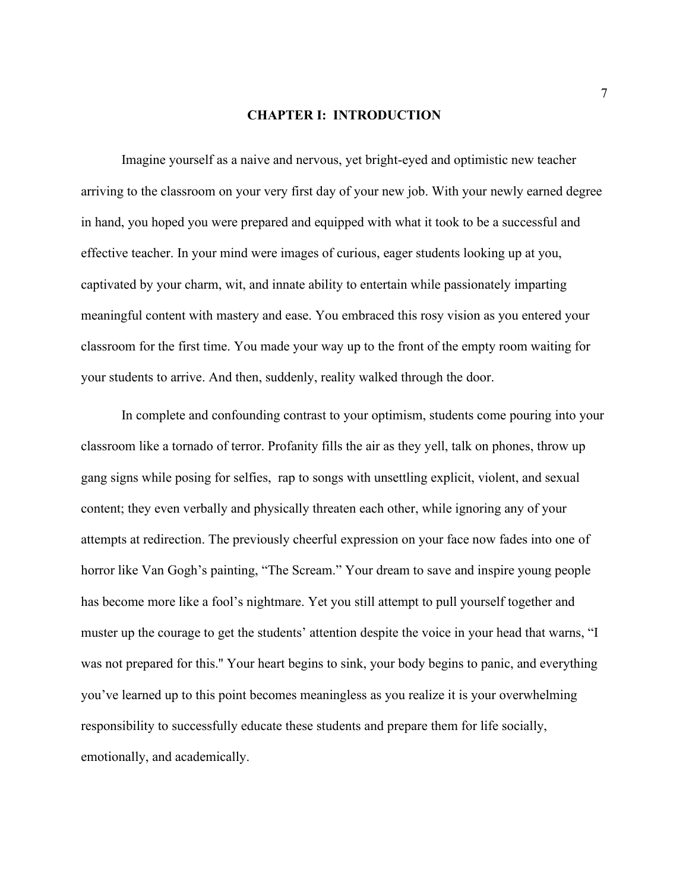#### **CHAPTER I: INTRODUCTION**

Imagine yourself as a naive and nervous, yet bright-eyed and optimistic new teacher arriving to the classroom on your very first day of your new job. With your newly earned degree in hand, you hoped you were prepared and equipped with what it took to be a successful and effective teacher. In your mind were images of curious, eager students looking up at you, captivated by your charm, wit, and innate ability to entertain while passionately imparting meaningful content with mastery and ease. You embraced this rosy vision as you entered your classroom for the first time. You made your way up to the front of the empty room waiting for your students to arrive. And then, suddenly, reality walked through the door.

In complete and confounding contrast to your optimism, students come pouring into your classroom like a tornado of terror. Profanity fills the air as they yell, talk on phones, throw up gang signs while posing for selfies, rap to songs with unsettling explicit, violent, and sexual content; they even verbally and physically threaten each other, while ignoring any of your attempts at redirection. The previously cheerful expression on your face now fades into one of horror like Van Gogh's painting, "The Scream." Your dream to save and inspire young people has become more like a fool's nightmare. Yet you still attempt to pull yourself together and muster up the courage to get the students' attention despite the voice in your head that warns, "I was not prepared for this.'' Your heart begins to sink, your body begins to panic, and everything you've learned up to this point becomes meaningless as you realize it is your overwhelming responsibility to successfully educate these students and prepare them for life socially, emotionally, and academically.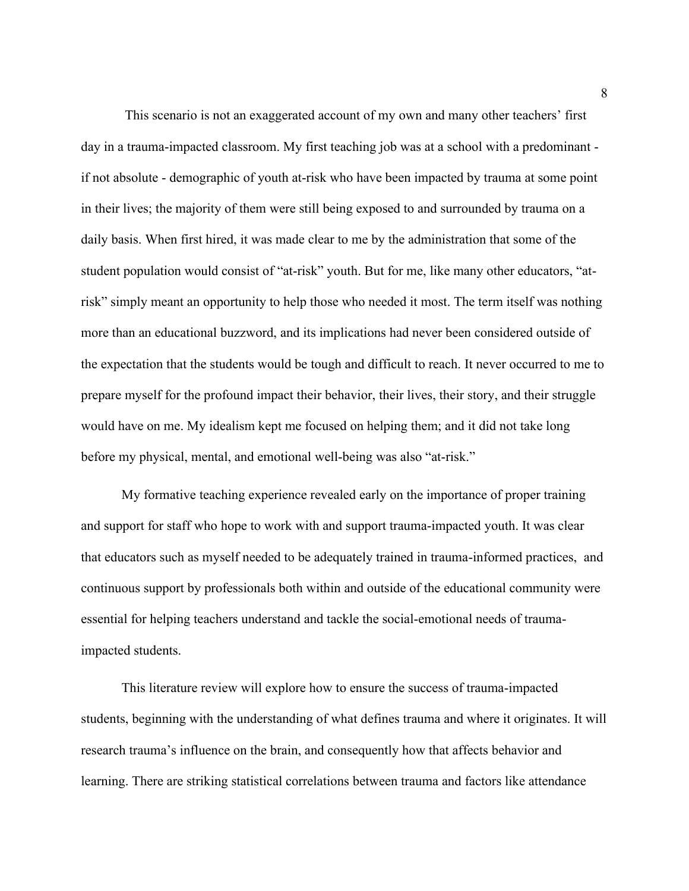This scenario is not an exaggerated account of my own and many other teachers' first day in a trauma-impacted classroom. My first teaching job was at a school with a predominant if not absolute - demographic of youth at-risk who have been impacted by trauma at some point in their lives; the majority of them were still being exposed to and surrounded by trauma on a daily basis. When first hired, it was made clear to me by the administration that some of the student population would consist of "at-risk" youth. But for me, like many other educators, "atrisk" simply meant an opportunity to help those who needed it most. The term itself was nothing more than an educational buzzword, and its implications had never been considered outside of the expectation that the students would be tough and difficult to reach. It never occurred to me to prepare myself for the profound impact their behavior, their lives, their story, and their struggle would have on me. My idealism kept me focused on helping them; and it did not take long before my physical, mental, and emotional well-being was also "at-risk."

My formative teaching experience revealed early on the importance of proper training and support for staff who hope to work with and support trauma-impacted youth. It was clear that educators such as myself needed to be adequately trained in trauma-informed practices, and continuous support by professionals both within and outside of the educational community were essential for helping teachers understand and tackle the social-emotional needs of traumaimpacted students.

This literature review will explore how to ensure the success of trauma-impacted students, beginning with the understanding of what defines trauma and where it originates. It will research trauma's influence on the brain, and consequently how that affects behavior and learning. There are striking statistical correlations between trauma and factors like attendance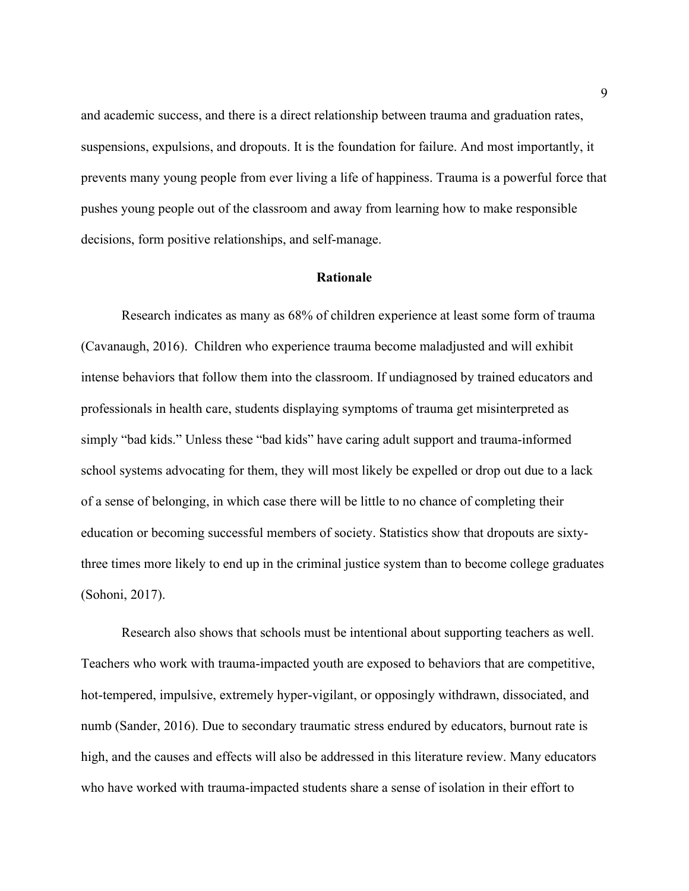and academic success, and there is a direct relationship between trauma and graduation rates, suspensions, expulsions, and dropouts. It is the foundation for failure. And most importantly, it prevents many young people from ever living a life of happiness. Trauma is a powerful force that pushes young people out of the classroom and away from learning how to make responsible decisions, form positive relationships, and self-manage.

#### **Rationale**

Research indicates as many as 68% of children experience at least some form of trauma (Cavanaugh, 2016). Children who experience trauma become maladjusted and will exhibit intense behaviors that follow them into the classroom. If undiagnosed by trained educators and professionals in health care, students displaying symptoms of trauma get misinterpreted as simply "bad kids." Unless these "bad kids" have caring adult support and trauma-informed school systems advocating for them, they will most likely be expelled or drop out due to a lack of a sense of belonging, in which case there will be little to no chance of completing their education or becoming successful members of society. Statistics show that dropouts are sixtythree times more likely to end up in the criminal justice system than to become college graduates (Sohoni, 2017).

Research also shows that schools must be intentional about supporting teachers as well. Teachers who work with trauma-impacted youth are exposed to behaviors that are competitive, hot-tempered, impulsive, extremely hyper-vigilant, or opposingly withdrawn, dissociated, and numb (Sander, 2016). Due to secondary traumatic stress endured by educators, burnout rate is high, and the causes and effects will also be addressed in this literature review. Many educators who have worked with trauma-impacted students share a sense of isolation in their effort to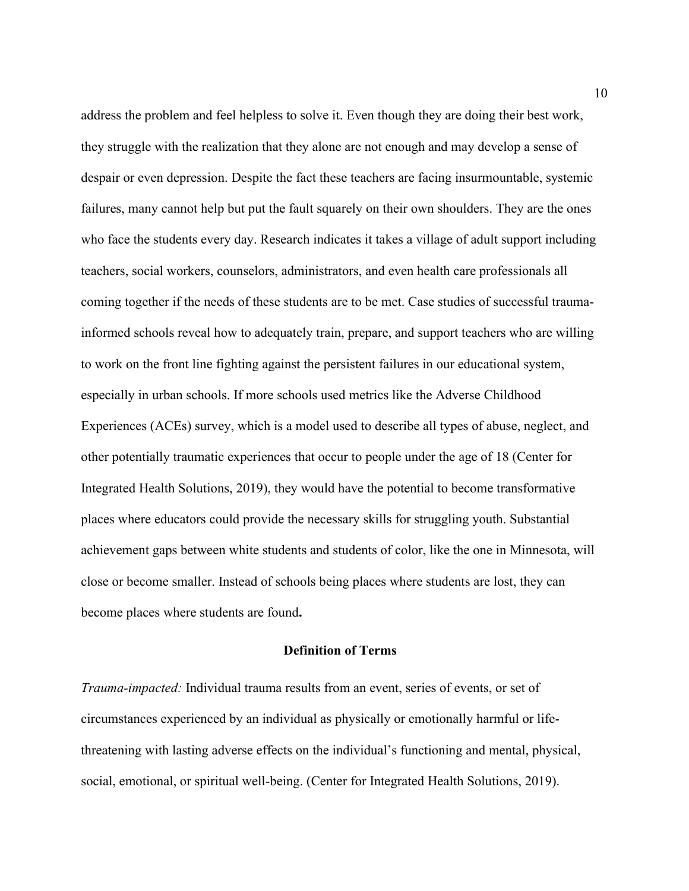address the problem and feel helpless to solve it. Even though they are doing their best work, they struggle with the realization that they alone are not enough and may develop a sense of despair or even depression. Despite the fact these teachers are facing insurmountable, systemic failures, many cannot help but put the fault squarely on their own shoulders. They are the ones who face the students every day. Research indicates it takes a village of adult support including teachers, social workers, counselors, administrators, and even health care professionals all coming together if the needs of these students are to be met. Case studies of successful traumainformed schools reveal how to adequately train, prepare, and support teachers who are willing to work on the front line fighting against the persistent failures in our educational system, especially in urban schools. If more schools used metrics like the Adverse Childhood Experiences (ACEs) survey, which is a model used to describe all types of abuse, neglect, and other potentially traumatic experiences that occur to people under the age of 18 (Center for Integrated Health Solutions, 2019), they would have the potential to become transformative places where educators could provide the necessary skills for struggling youth. Substantial achievement gaps between white students and students of color, like the one in Minnesota, will close or become smaller. Instead of schools being places where students are lost, they can become places where students are found**.**

## **Definition of Terms**

*Trauma-impacted:* Individual trauma results from an event, series of events, or set of circumstances experienced by an individual as physically or emotionally harmful or lifethreatening with lasting adverse effects on the individual's functioning and mental, physical, social, emotional, or spiritual well-being. (Center for Integrated Health Solutions, 2019).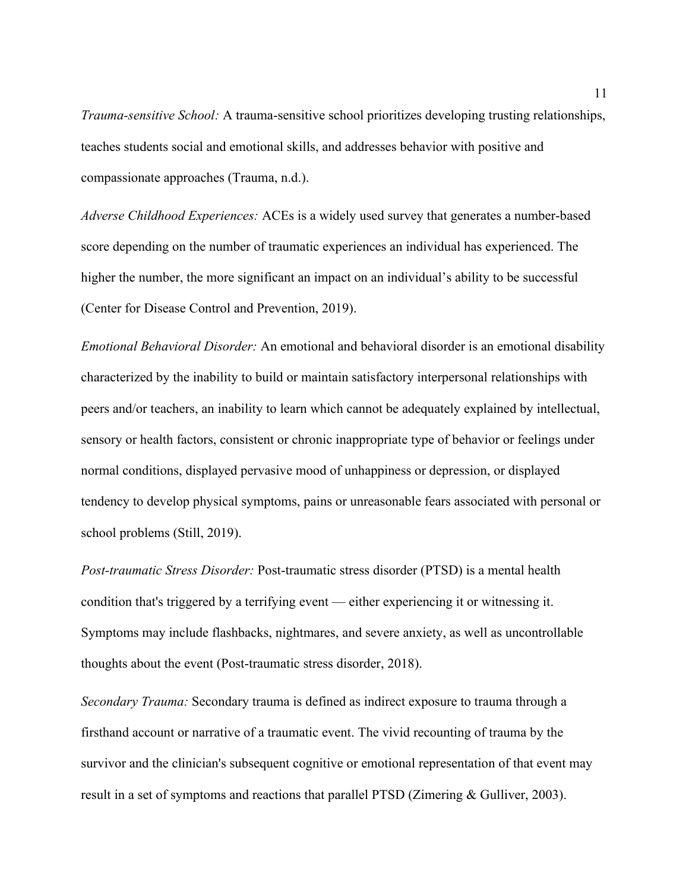*Trauma-sensitive School:* A trauma-sensitive school prioritizes developing trusting relationships, teaches students social and emotional skills, and addresses behavior with positive and compassionate approaches (Trauma, n.d.).

*Adverse Childhood Experiences:* ACEs is a widely used survey that generates a number-based score depending on the number of traumatic experiences an individual has experienced. The higher the number, the more significant an impact on an individual's ability to be successful (Center for Disease Control and Prevention, 2019).

*Emotional Behavioral Disorder:* An emotional and behavioral disorder is an emotional disability characterized by the inability to build or maintain satisfactory interpersonal relationships with peers and/or teachers, an inability to learn which cannot be adequately explained by intellectual, sensory or health factors, consistent or chronic inappropriate type of behavior or feelings under normal conditions, displayed pervasive mood of unhappiness or depression, or displayed tendency to develop physical symptoms, pains or unreasonable fears associated with personal or school problems (Still, 2019).

*Post-traumatic Stress Disorder:* Post-traumatic stress disorder (PTSD) is a mental health condition that's triggered by a terrifying event — either experiencing it or witnessing it. Symptoms may include flashbacks, nightmares, and severe anxiety, as well as uncontrollable thoughts about the event (Post-traumatic stress disorder, 2018).

*Secondary Trauma:* Secondary trauma is defined as indirect exposure to trauma through a firsthand account or narrative of a traumatic event. The vivid recounting of trauma by the survivor and the clinician's subsequent cognitive or emotional representation of that event may result in a set of symptoms and reactions that parallel PTSD (Zimering & Gulliver, 2003).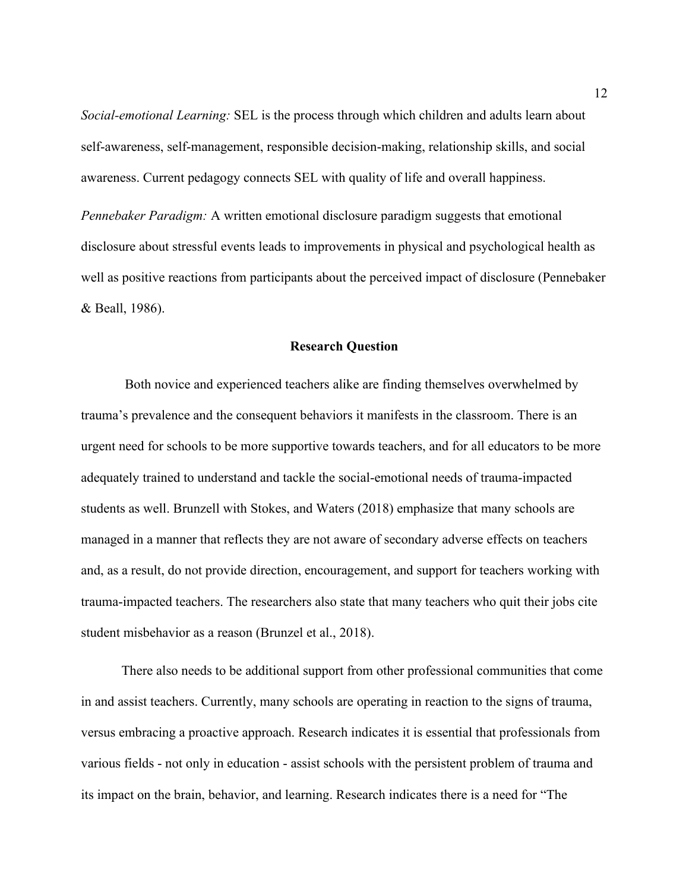*Social-emotional Learning:* SEL is the process through which children and adults learn about self-awareness, self-management, responsible decision-making, relationship skills, and social awareness. Current pedagogy connects SEL with quality of life and overall happiness.

*Pennebaker Paradigm:* A written emotional disclosure paradigm suggests that emotional disclosure about stressful events leads to improvements in physical and psychological health as well as positive reactions from participants about the perceived impact of disclosure (Pennebaker & Beall, 1986).

#### **Research Question**

Both novice and experienced teachers alike are finding themselves overwhelmed by trauma's prevalence and the consequent behaviors it manifests in the classroom. There is an urgent need for schools to be more supportive towards teachers, and for all educators to be more adequately trained to understand and tackle the social-emotional needs of trauma-impacted students as well. Brunzell with Stokes, and Waters (2018) emphasize that many schools are managed in a manner that reflects they are not aware of secondary adverse effects on teachers and, as a result, do not provide direction, encouragement, and support for teachers working with trauma-impacted teachers. The researchers also state that many teachers who quit their jobs cite student misbehavior as a reason (Brunzel et al., 2018).

There also needs to be additional support from other professional communities that come in and assist teachers. Currently, many schools are operating in reaction to the signs of trauma, versus embracing a proactive approach. Research indicates it is essential that professionals from various fields - not only in education - assist schools with the persistent problem of trauma and its impact on the brain, behavior, and learning. Research indicates there is a need for "The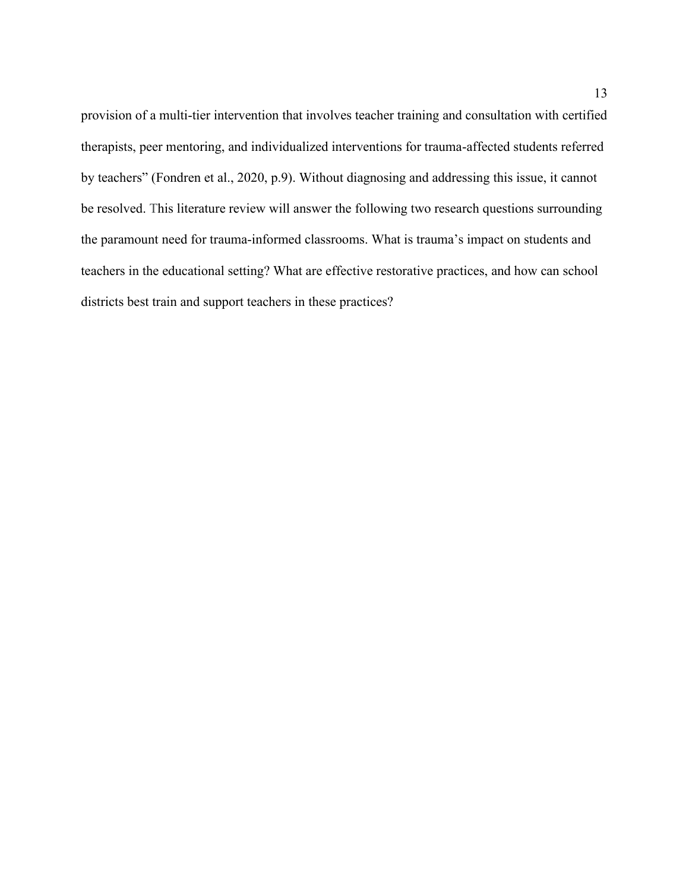provision of a multi-tier intervention that involves teacher training and consultation with certified therapists, peer mentoring, and individualized interventions for trauma-affected students referred by teachers" (Fondren et al., 2020, p.9). Without diagnosing and addressing this issue, it cannot be resolved. This literature review will answer the following two research questions surrounding the paramount need for trauma-informed classrooms. What is trauma's impact on students and teachers in the educational setting? What are effective restorative practices, and how can school districts best train and support teachers in these practices?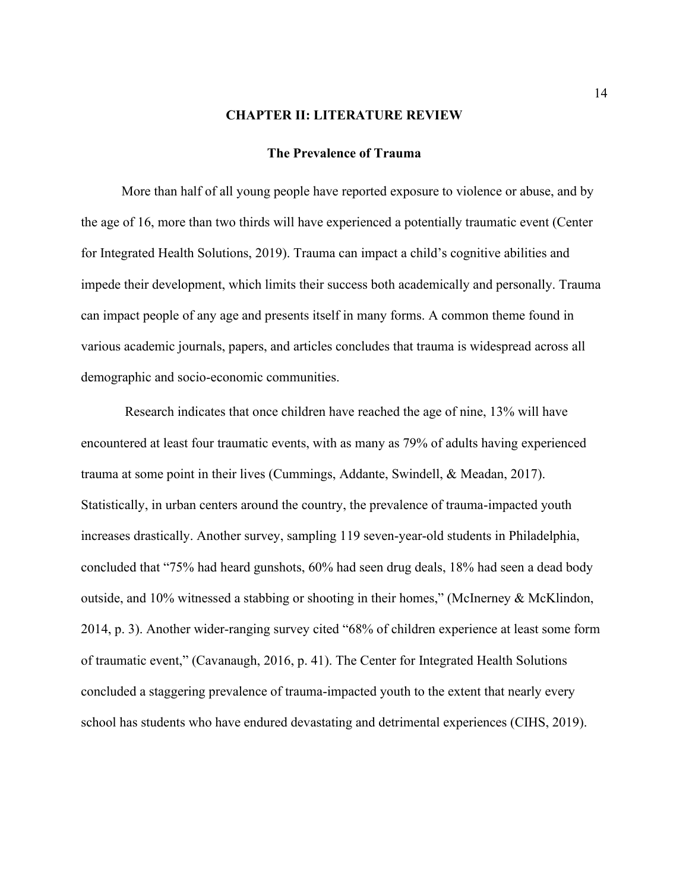#### **CHAPTER II: LITERATURE REVIEW**

#### **The Prevalence of Trauma**

More than half of all young people have reported exposure to violence or abuse, and by the age of 16, more than two thirds will have experienced a potentially traumatic event (Center for Integrated Health Solutions, 2019). Trauma can impact a child's cognitive abilities and impede their development, which limits their success both academically and personally. Trauma can impact people of any age and presents itself in many forms. A common theme found in various academic journals, papers, and articles concludes that trauma is widespread across all demographic and socio-economic communities.

Research indicates that once children have reached the age of nine, 13% will have encountered at least four traumatic events, with as many as 79% of adults having experienced trauma at some point in their lives (Cummings, Addante, Swindell, & Meadan, 2017). Statistically, in urban centers around the country, the prevalence of trauma-impacted youth increases drastically. Another survey, sampling 119 seven-year-old students in Philadelphia, concluded that "75% had heard gunshots, 60% had seen drug deals, 18% had seen a dead body outside, and 10% witnessed a stabbing or shooting in their homes," (McInerney & McKlindon, 2014, p. 3). Another wider-ranging survey cited "68% of children experience at least some form of traumatic event," (Cavanaugh, 2016, p. 41). The Center for Integrated Health Solutions concluded a staggering prevalence of trauma-impacted youth to the extent that nearly every school has students who have endured devastating and detrimental experiences (CIHS, 2019).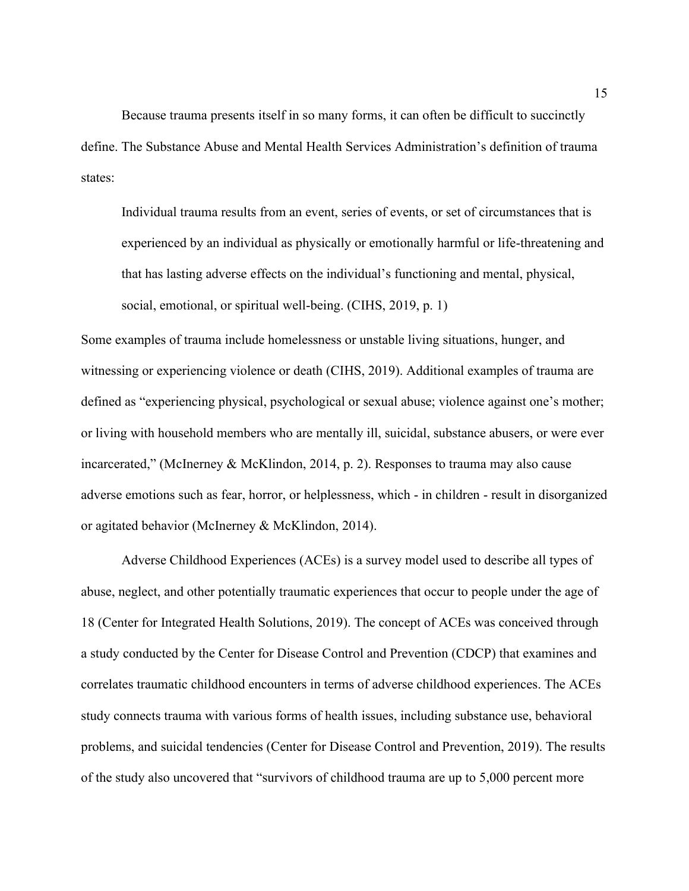Because trauma presents itself in so many forms, it can often be difficult to succinctly define. The Substance Abuse and Mental Health Services Administration's definition of trauma states:

Individual trauma results from an event, series of events, or set of circumstances that is experienced by an individual as physically or emotionally harmful or life-threatening and that has lasting adverse effects on the individual's functioning and mental, physical, social, emotional, or spiritual well-being. (CIHS, 2019, p. 1)

Some examples of trauma include homelessness or unstable living situations, hunger, and witnessing or experiencing violence or death (CIHS, 2019). Additional examples of trauma are defined as "experiencing physical, psychological or sexual abuse; violence against one's mother; or living with household members who are mentally ill, suicidal, substance abusers, or were ever incarcerated," (McInerney & McKlindon, 2014, p. 2). Responses to trauma may also cause adverse emotions such as fear, horror, or helplessness, which - in children - result in disorganized or agitated behavior (McInerney & McKlindon, 2014).

Adverse Childhood Experiences (ACEs) is a survey model used to describe all types of abuse, neglect, and other potentially traumatic experiences that occur to people under the age of 18 (Center for Integrated Health Solutions, 2019). The concept of ACEs was conceived through a study conducted by the Center for Disease Control and Prevention (CDCP) that examines and correlates traumatic childhood encounters in terms of adverse childhood experiences. The ACEs study connects trauma with various forms of health issues, including substance use, behavioral problems, and suicidal tendencies (Center for Disease Control and Prevention, 2019). The results of the study also uncovered that "survivors of childhood trauma are up to 5,000 percent more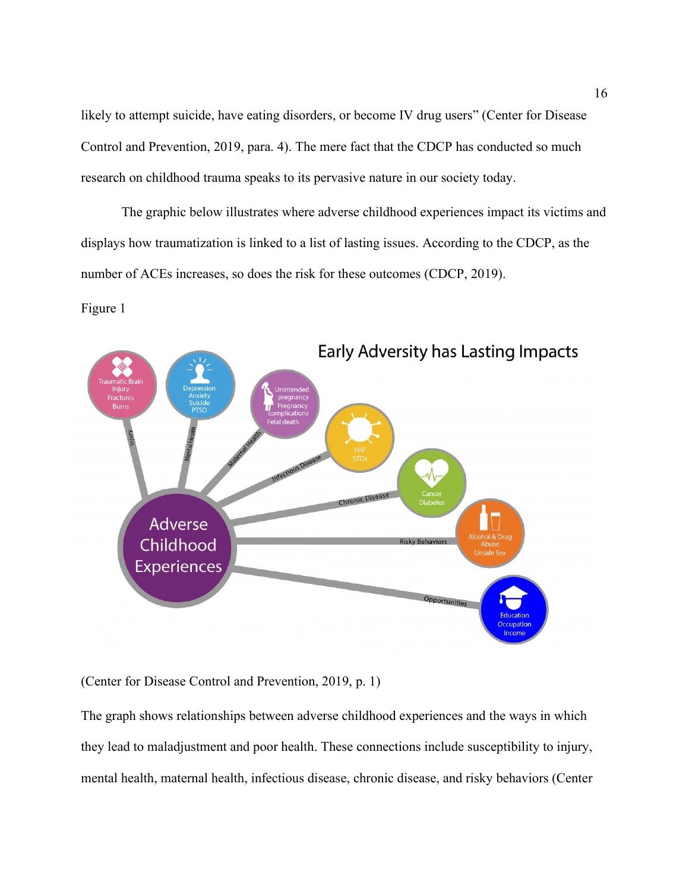likely to attempt suicide, have eating disorders, or become IV drug users" (Center for Disease Control and Prevention, 2019, para. 4). The mere fact that the CDCP has conducted so much research on childhood trauma speaks to its pervasive nature in our society today.

The graphic below illustrates where adverse childhood experiences impact its victims and displays how traumatization is linked to a list of lasting issues. According to the CDCP, as the number of ACEs increases, so does the risk for these outcomes (CDCP, 2019).

### Figure 1



(Center for Disease Control and Prevention, 2019, p. 1)

The graph shows relationships between adverse childhood experiences and the ways in which they lead to maladjustment and poor health. These connections include susceptibility to injury, mental health, maternal health, infectious disease, chronic disease, and risky behaviors (Center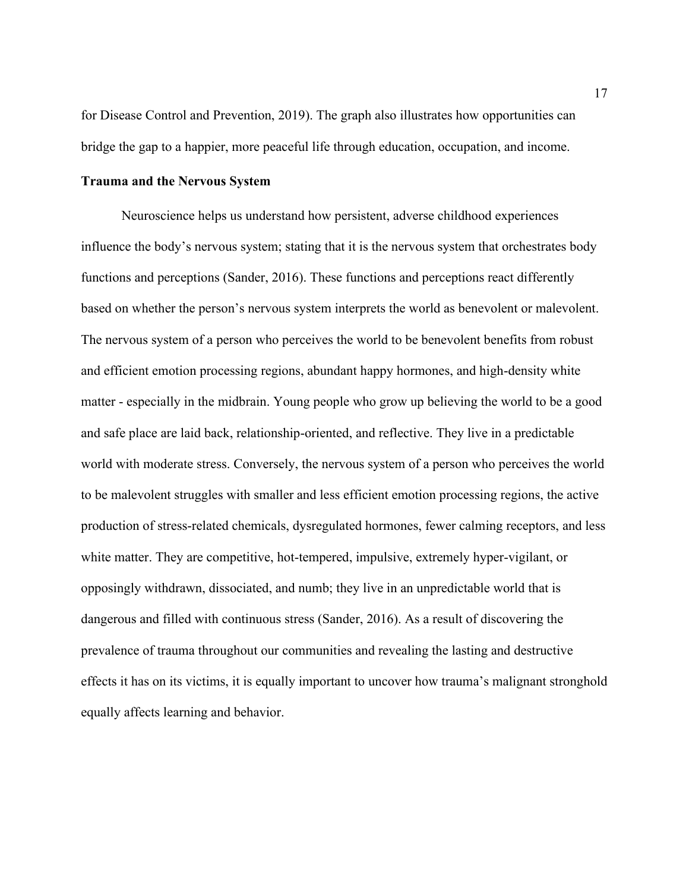for Disease Control and Prevention, 2019). The graph also illustrates how opportunities can bridge the gap to a happier, more peaceful life through education, occupation, and income.

#### **Trauma and the Nervous System**

Neuroscience helps us understand how persistent, adverse childhood experiences influence the body's nervous system; stating that it is the nervous system that orchestrates body functions and perceptions (Sander, 2016). These functions and perceptions react differently based on whether the person's nervous system interprets the world as benevolent or malevolent. The nervous system of a person who perceives the world to be benevolent benefits from robust and efficient emotion processing regions, abundant happy hormones, and high-density white matter - especially in the midbrain. Young people who grow up believing the world to be a good and safe place are laid back, relationship-oriented, and reflective. They live in a predictable world with moderate stress. Conversely, the nervous system of a person who perceives the world to be malevolent struggles with smaller and less efficient emotion processing regions, the active production of stress-related chemicals, dysregulated hormones, fewer calming receptors, and less white matter. They are competitive, hot-tempered, impulsive, extremely hyper-vigilant, or opposingly withdrawn, dissociated, and numb; they live in an unpredictable world that is dangerous and filled with continuous stress (Sander, 2016). As a result of discovering the prevalence of trauma throughout our communities and revealing the lasting and destructive effects it has on its victims, it is equally important to uncover how trauma's malignant stronghold equally affects learning and behavior.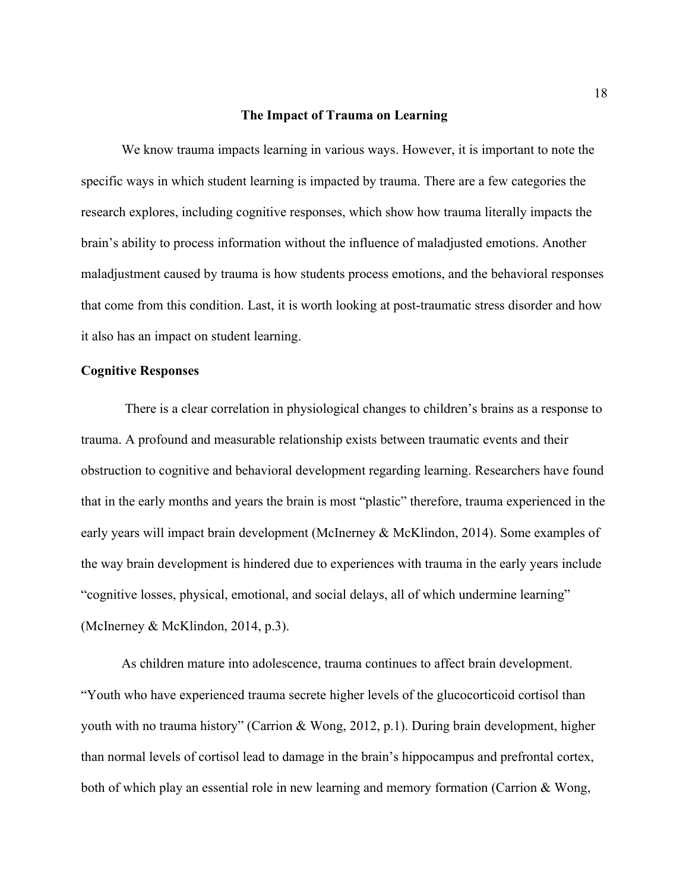#### **The Impact of Trauma on Learning**

We know trauma impacts learning in various ways. However, it is important to note the specific ways in which student learning is impacted by trauma. There are a few categories the research explores, including cognitive responses, which show how trauma literally impacts the brain's ability to process information without the influence of maladjusted emotions. Another maladjustment caused by trauma is how students process emotions, and the behavioral responses that come from this condition. Last, it is worth looking at post-traumatic stress disorder and how it also has an impact on student learning.

### **Cognitive Responses**

There is a clear correlation in physiological changes to children's brains as a response to trauma. A profound and measurable relationship exists between traumatic events and their obstruction to cognitive and behavioral development regarding learning. Researchers have found that in the early months and years the brain is most "plastic" therefore, trauma experienced in the early years will impact brain development (McInerney & McKlindon, 2014). Some examples of the way brain development is hindered due to experiences with trauma in the early years include "cognitive losses, physical, emotional, and social delays, all of which undermine learning" (McInerney & McKlindon, 2014, p.3).

As children mature into adolescence, trauma continues to affect brain development. "Youth who have experienced trauma secrete higher levels of the glucocorticoid cortisol than youth with no trauma history" (Carrion & Wong, 2012, p.1). During brain development, higher than normal levels of cortisol lead to damage in the brain's hippocampus and prefrontal cortex, both of which play an essential role in new learning and memory formation (Carrion & Wong,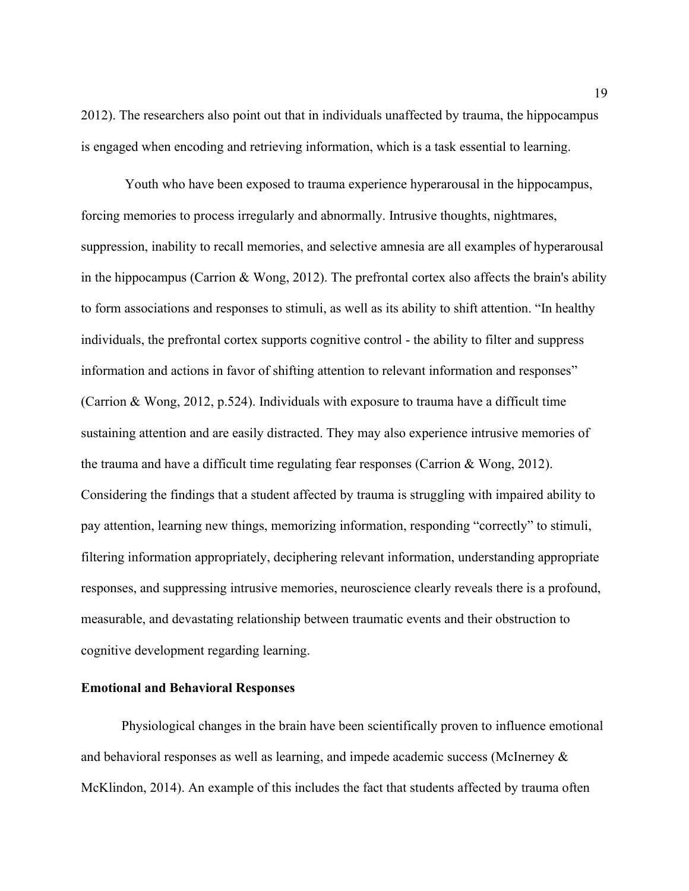2012). The researchers also point out that in individuals unaffected by trauma, the hippocampus is engaged when encoding and retrieving information, which is a task essential to learning.

Youth who have been exposed to trauma experience hyperarousal in the hippocampus, forcing memories to process irregularly and abnormally. Intrusive thoughts, nightmares, suppression, inability to recall memories, and selective amnesia are all examples of hyperarousal in the hippocampus (Carrion & Wong, 2012). The prefrontal cortex also affects the brain's ability to form associations and responses to stimuli, as well as its ability to shift attention. "In healthy individuals, the prefrontal cortex supports cognitive control - the ability to filter and suppress information and actions in favor of shifting attention to relevant information and responses" (Carrion & Wong, 2012, p.524). Individuals with exposure to trauma have a difficult time sustaining attention and are easily distracted. They may also experience intrusive memories of the trauma and have a difficult time regulating fear responses (Carrion & Wong, 2012). Considering the findings that a student affected by trauma is struggling with impaired ability to pay attention, learning new things, memorizing information, responding "correctly" to stimuli, filtering information appropriately, deciphering relevant information, understanding appropriate responses, and suppressing intrusive memories, neuroscience clearly reveals there is a profound, measurable, and devastating relationship between traumatic events and their obstruction to cognitive development regarding learning.

#### **Emotional and Behavioral Responses**

Physiological changes in the brain have been scientifically proven to influence emotional and behavioral responses as well as learning, and impede academic success (McInerney & McKlindon, 2014). An example of this includes the fact that students affected by trauma often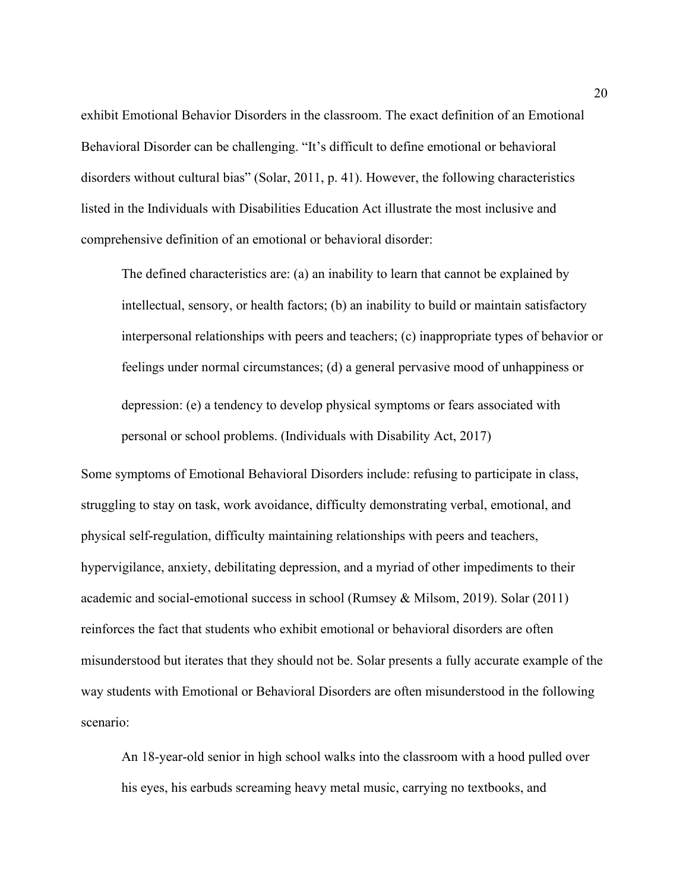exhibit Emotional Behavior Disorders in the classroom. The exact definition of an Emotional Behavioral Disorder can be challenging. "It's difficult to define emotional or behavioral disorders without cultural bias" (Solar, 2011, p. 41). However, the following characteristics listed in the Individuals with Disabilities Education Act illustrate the most inclusive and comprehensive definition of an emotional or behavioral disorder:

The defined characteristics are: (a) an inability to learn that cannot be explained by intellectual, sensory, or health factors; (b) an inability to build or maintain satisfactory interpersonal relationships with peers and teachers; (c) inappropriate types of behavior or feelings under normal circumstances; (d) a general pervasive mood of unhappiness or depression: (e) a tendency to develop physical symptoms or fears associated with personal or school problems. (Individuals with Disability Act, 2017)

Some symptoms of Emotional Behavioral Disorders include: refusing to participate in class, struggling to stay on task, work avoidance, difficulty demonstrating verbal, emotional, and physical self-regulation, difficulty maintaining relationships with peers and teachers, hypervigilance, anxiety, debilitating depression, and a myriad of other impediments to their academic and social-emotional success in school (Rumsey & Milsom, 2019). Solar (2011) reinforces the fact that students who exhibit emotional or behavioral disorders are often misunderstood but iterates that they should not be. Solar presents a fully accurate example of the way students with Emotional or Behavioral Disorders are often misunderstood in the following scenario:

An 18-year-old senior in high school walks into the classroom with a hood pulled over his eyes, his earbuds screaming heavy metal music, carrying no textbooks, and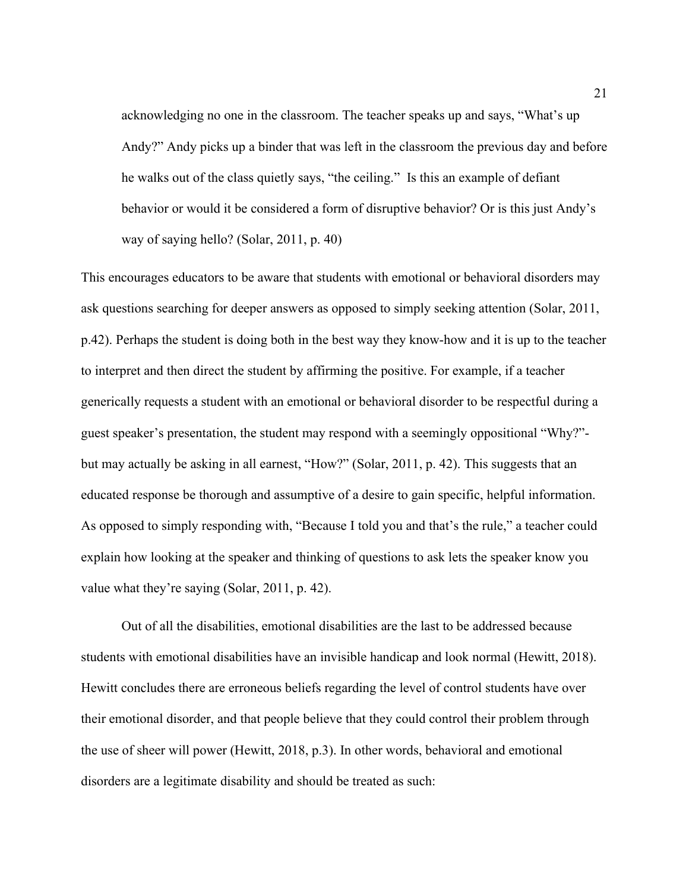acknowledging no one in the classroom. The teacher speaks up and says, "What's up Andy?" Andy picks up a binder that was left in the classroom the previous day and before he walks out of the class quietly says, "the ceiling." Is this an example of defiant behavior or would it be considered a form of disruptive behavior? Or is this just Andy's way of saying hello? (Solar, 2011, p. 40)

This encourages educators to be aware that students with emotional or behavioral disorders may ask questions searching for deeper answers as opposed to simply seeking attention (Solar, 2011, p.42). Perhaps the student is doing both in the best way they know-how and it is up to the teacher to interpret and then direct the student by affirming the positive. For example, if a teacher generically requests a student with an emotional or behavioral disorder to be respectful during a guest speaker's presentation, the student may respond with a seemingly oppositional "Why?" but may actually be asking in all earnest, "How?" (Solar, 2011, p. 42). This suggests that an educated response be thorough and assumptive of a desire to gain specific, helpful information. As opposed to simply responding with, "Because I told you and that's the rule," a teacher could explain how looking at the speaker and thinking of questions to ask lets the speaker know you value what they're saying (Solar, 2011, p. 42).

Out of all the disabilities, emotional disabilities are the last to be addressed because students with emotional disabilities have an invisible handicap and look normal (Hewitt, 2018). Hewitt concludes there are erroneous beliefs regarding the level of control students have over their emotional disorder, and that people believe that they could control their problem through the use of sheer will power (Hewitt, 2018, p.3). In other words, behavioral and emotional disorders are a legitimate disability and should be treated as such: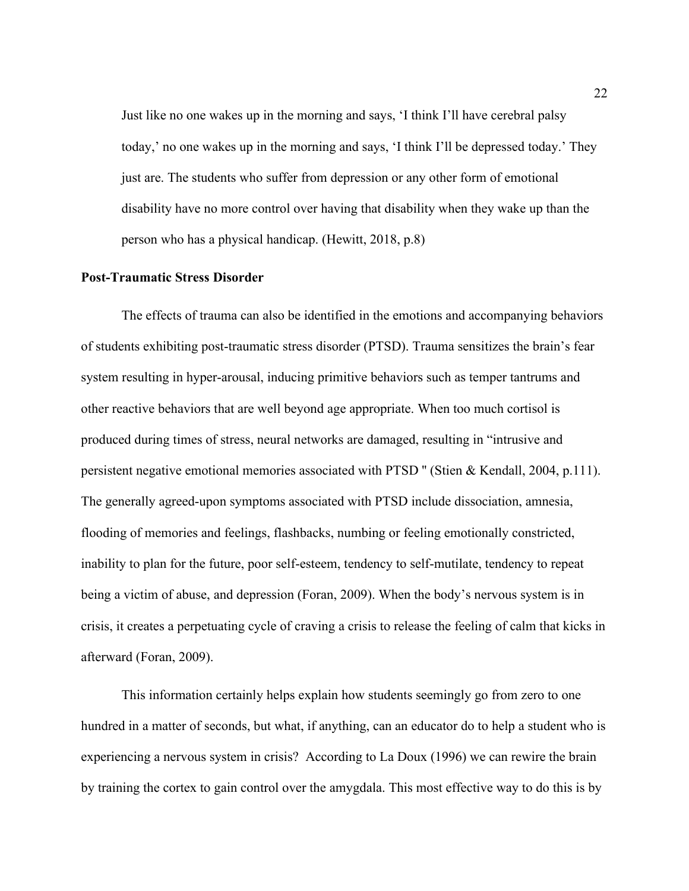Just like no one wakes up in the morning and says, 'I think I'll have cerebral palsy today,' no one wakes up in the morning and says, 'I think I'll be depressed today.' They just are. The students who suffer from depression or any other form of emotional disability have no more control over having that disability when they wake up than the person who has a physical handicap. (Hewitt, 2018, p.8)

#### **Post-Traumatic Stress Disorder**

The effects of trauma can also be identified in the emotions and accompanying behaviors of students exhibiting post-traumatic stress disorder (PTSD). Trauma sensitizes the brain's fear system resulting in hyper-arousal, inducing primitive behaviors such as temper tantrums and other reactive behaviors that are well beyond age appropriate. When too much cortisol is produced during times of stress, neural networks are damaged, resulting in "intrusive and persistent negative emotional memories associated with PTSD '' (Stien & Kendall, 2004, p.111). The generally agreed-upon symptoms associated with PTSD include dissociation, amnesia, flooding of memories and feelings, flashbacks, numbing or feeling emotionally constricted, inability to plan for the future, poor self-esteem, tendency to self-mutilate, tendency to repeat being a victim of abuse, and depression (Foran, 2009). When the body's nervous system is in crisis, it creates a perpetuating cycle of craving a crisis to release the feeling of calm that kicks in afterward (Foran, 2009).

This information certainly helps explain how students seemingly go from zero to one hundred in a matter of seconds, but what, if anything, can an educator do to help a student who is experiencing a nervous system in crisis? According to La Doux (1996) we can rewire the brain by training the cortex to gain control over the amygdala. This most effective way to do this is by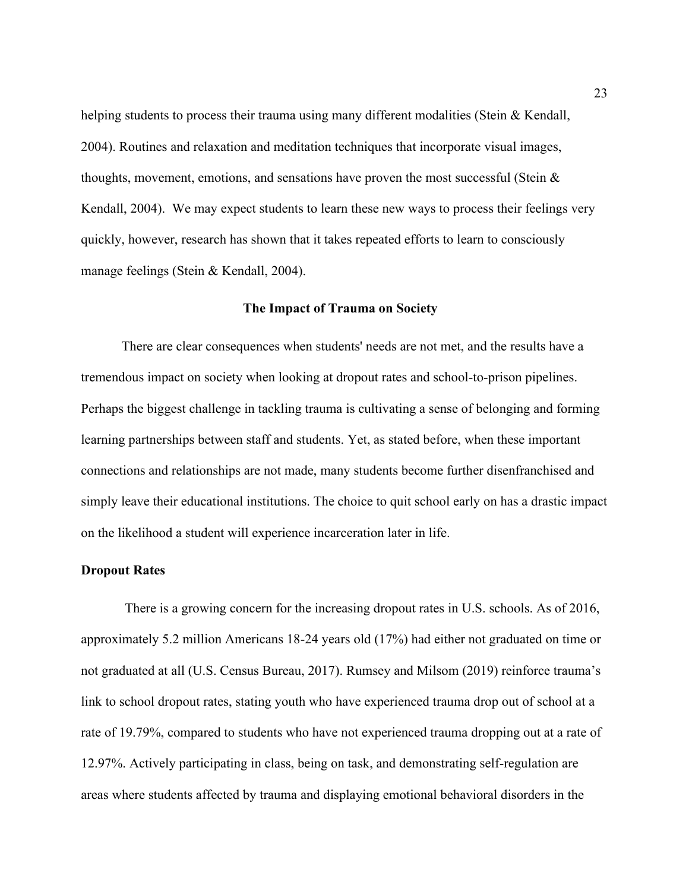helping students to process their trauma using many different modalities (Stein & Kendall, 2004). Routines and relaxation and meditation techniques that incorporate visual images, thoughts, movement, emotions, and sensations have proven the most successful (Stein  $\&$ Kendall, 2004). We may expect students to learn these new ways to process their feelings very quickly, however, research has shown that it takes repeated efforts to learn to consciously manage feelings (Stein & Kendall, 2004).

#### **The Impact of Trauma on Society**

There are clear consequences when students' needs are not met, and the results have a tremendous impact on society when looking at dropout rates and school-to-prison pipelines. Perhaps the biggest challenge in tackling trauma is cultivating a sense of belonging and forming learning partnerships between staff and students. Yet, as stated before, when these important connections and relationships are not made, many students become further disenfranchised and simply leave their educational institutions. The choice to quit school early on has a drastic impact on the likelihood a student will experience incarceration later in life.

#### **Dropout Rates**

There is a growing concern for the increasing dropout rates in U.S. schools. As of 2016, approximately 5.2 million Americans 18-24 years old (17%) had either not graduated on time or not graduated at all (U.S. Census Bureau, 2017). Rumsey and Milsom (2019) reinforce trauma's link to school dropout rates, stating youth who have experienced trauma drop out of school at a rate of 19.79%, compared to students who have not experienced trauma dropping out at a rate of 12.97%. Actively participating in class, being on task, and demonstrating self-regulation are areas where students affected by trauma and displaying emotional behavioral disorders in the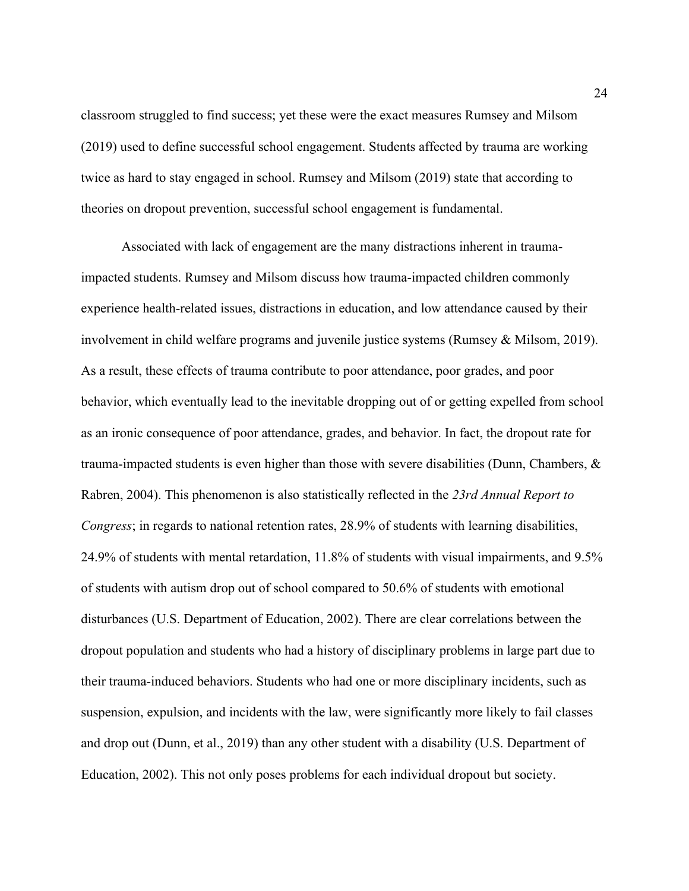classroom struggled to find success; yet these were the exact measures Rumsey and Milsom (2019) used to define successful school engagement. Students affected by trauma are working twice as hard to stay engaged in school. Rumsey and Milsom (2019) state that according to theories on dropout prevention, successful school engagement is fundamental.

Associated with lack of engagement are the many distractions inherent in traumaimpacted students. Rumsey and Milsom discuss how trauma-impacted children commonly experience health-related issues, distractions in education, and low attendance caused by their involvement in child welfare programs and juvenile justice systems (Rumsey & Milsom, 2019). As a result, these effects of trauma contribute to poor attendance, poor grades, and poor behavior, which eventually lead to the inevitable dropping out of or getting expelled from school as an ironic consequence of poor attendance, grades, and behavior. In fact, the dropout rate for trauma-impacted students is even higher than those with severe disabilities (Dunn, Chambers, & Rabren, 2004). This phenomenon is also statistically reflected in the *23rd Annual Report to Congress*; in regards to national retention rates, 28.9% of students with learning disabilities, 24.9% of students with mental retardation, 11.8% of students with visual impairments, and 9.5% of students with autism drop out of school compared to 50.6% of students with emotional disturbances (U.S. Department of Education, 2002). There are clear correlations between the dropout population and students who had a history of disciplinary problems in large part due to their trauma-induced behaviors. Students who had one or more disciplinary incidents, such as suspension, expulsion, and incidents with the law, were significantly more likely to fail classes and drop out (Dunn, et al., 2019) than any other student with a disability (U.S. Department of Education, 2002). This not only poses problems for each individual dropout but society.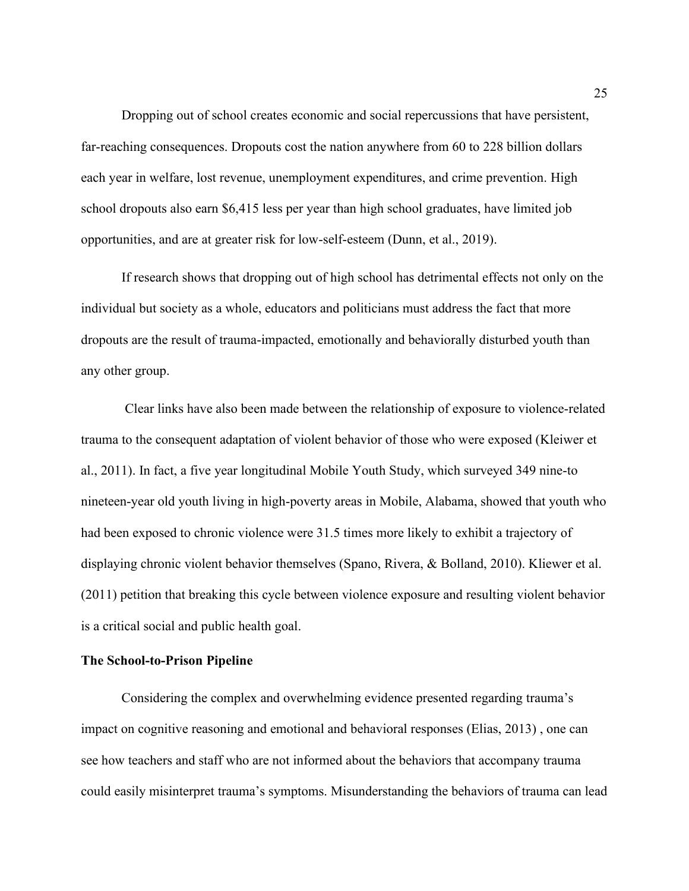Dropping out of school creates economic and social repercussions that have persistent, far-reaching consequences. Dropouts cost the nation anywhere from 60 to 228 billion dollars each year in welfare, lost revenue, unemployment expenditures, and crime prevention. High school dropouts also earn \$6,415 less per year than high school graduates, have limited job opportunities, and are at greater risk for low-self-esteem (Dunn, et al., 2019).

If research shows that dropping out of high school has detrimental effects not only on the individual but society as a whole, educators and politicians must address the fact that more dropouts are the result of trauma-impacted, emotionally and behaviorally disturbed youth than any other group.

Clear links have also been made between the relationship of exposure to violence-related trauma to the consequent adaptation of violent behavior of those who were exposed (Kleiwer et al., 2011). In fact, a five year longitudinal Mobile Youth Study, which surveyed 349 nine-to nineteen-year old youth living in high-poverty areas in Mobile, Alabama, showed that youth who had been exposed to chronic violence were 31.5 times more likely to exhibit a trajectory of displaying chronic violent behavior themselves (Spano, Rivera, & Bolland, 2010). Kliewer et al. (2011) petition that breaking this cycle between violence exposure and resulting violent behavior is a critical social and public health goal.

#### **The School-to-Prison Pipeline**

Considering the complex and overwhelming evidence presented regarding trauma's impact on cognitive reasoning and emotional and behavioral responses (Elias, 2013) , one can see how teachers and staff who are not informed about the behaviors that accompany trauma could easily misinterpret trauma's symptoms. Misunderstanding the behaviors of trauma can lead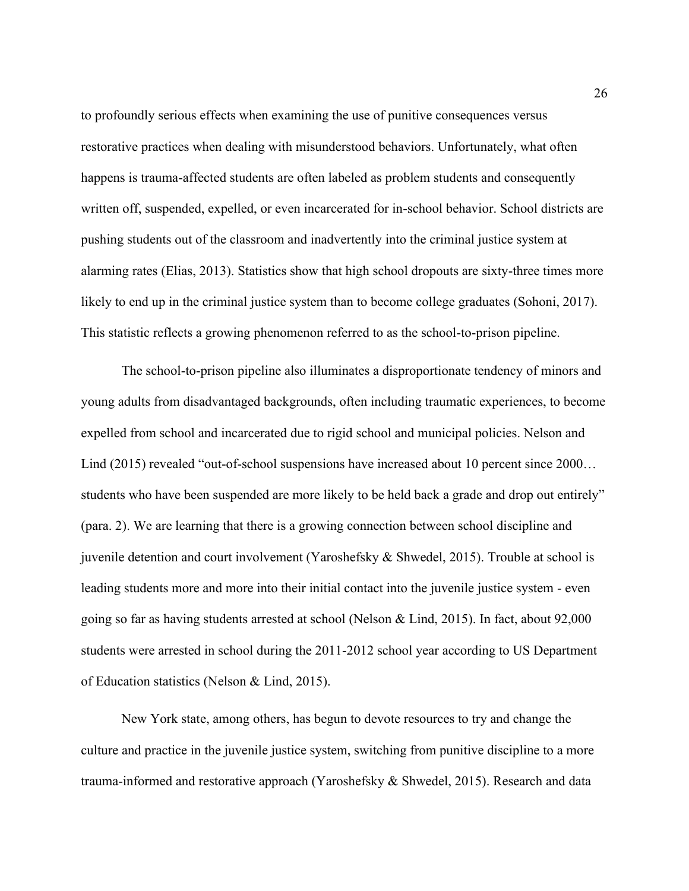to profoundly serious effects when examining the use of punitive consequences versus restorative practices when dealing with misunderstood behaviors. Unfortunately, what often happens is trauma-affected students are often labeled as problem students and consequently written off, suspended, expelled, or even incarcerated for in-school behavior. School districts are pushing students out of the classroom and inadvertently into the criminal justice system at alarming rates (Elias, 2013). Statistics show that high school dropouts are sixty-three times more likely to end up in the criminal justice system than to become college graduates (Sohoni, 2017). This statistic reflects a growing phenomenon referred to as the school-to-prison pipeline.

The school-to-prison pipeline also illuminates a disproportionate tendency of minors and young adults from disadvantaged backgrounds, often including traumatic experiences, to become expelled from school and incarcerated due to rigid school and municipal policies. Nelson and Lind (2015) revealed "out-of-school suspensions have increased about 10 percent since 2000... students who have been suspended are more likely to be held back a grade and drop out entirely" (para. 2). We are learning that there is a growing connection between school discipline and juvenile detention and court involvement (Yaroshefsky & Shwedel, 2015). Trouble at school is leading students more and more into their initial contact into the juvenile justice system - even going so far as having students arrested at school (Nelson & Lind, 2015). In fact, about 92,000 students were arrested in school during the 2011-2012 school year according to US Department of Education statistics (Nelson & Lind, 2015).

New York state, among others, has begun to devote resources to try and change the culture and practice in the juvenile justice system, switching from punitive discipline to a more trauma-informed and restorative approach (Yaroshefsky & Shwedel, 2015). Research and data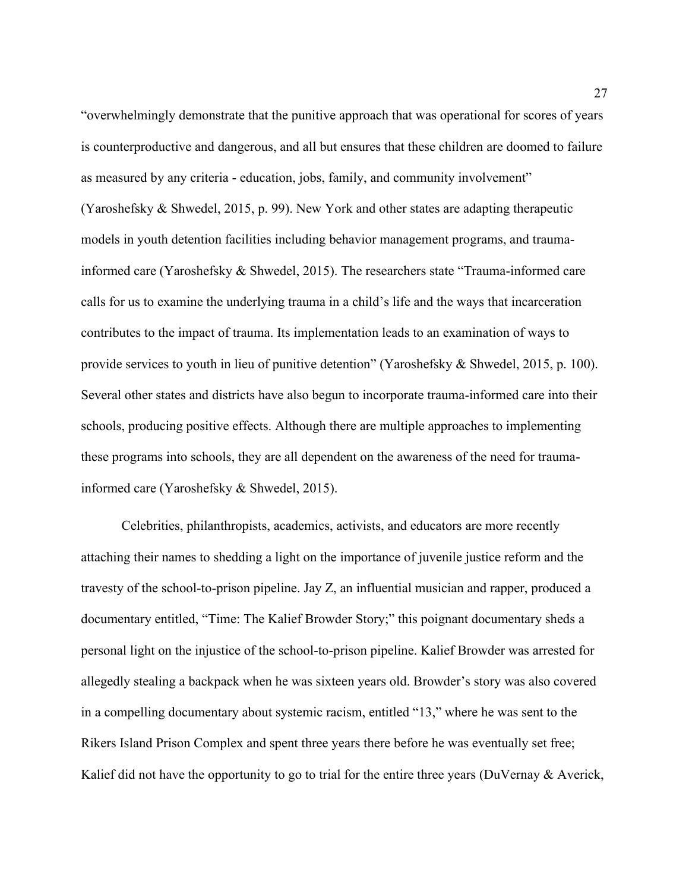"overwhelmingly demonstrate that the punitive approach that was operational for scores of years is counterproductive and dangerous, and all but ensures that these children are doomed to failure as measured by any criteria - education, jobs, family, and community involvement"

(Yaroshefsky & Shwedel, 2015, p. 99). New York and other states are adapting therapeutic models in youth detention facilities including behavior management programs, and traumainformed care (Yaroshefsky & Shwedel, 2015). The researchers state "Trauma-informed care calls for us to examine the underlying trauma in a child's life and the ways that incarceration contributes to the impact of trauma. Its implementation leads to an examination of ways to provide services to youth in lieu of punitive detention" (Yaroshefsky & Shwedel, 2015, p. 100). Several other states and districts have also begun to incorporate trauma-informed care into their schools, producing positive effects. Although there are multiple approaches to implementing these programs into schools, they are all dependent on the awareness of the need for traumainformed care (Yaroshefsky & Shwedel, 2015).

Celebrities, philanthropists, academics, activists, and educators are more recently attaching their names to shedding a light on the importance of juvenile justice reform and the travesty of the school-to-prison pipeline. Jay Z, an influential musician and rapper, produced a documentary entitled, "Time: The Kalief Browder Story;" this poignant documentary sheds a personal light on the injustice of the school-to-prison pipeline. Kalief Browder was arrested for allegedly stealing a backpack when he was sixteen years old. Browder's story was also covered in a compelling documentary about systemic racism, entitled "13," where he was sent to the Rikers Island Prison Complex and spent three years there before he was eventually set free; Kalief did not have the opportunity to go to trial for the entire three years (DuVernay & Averick,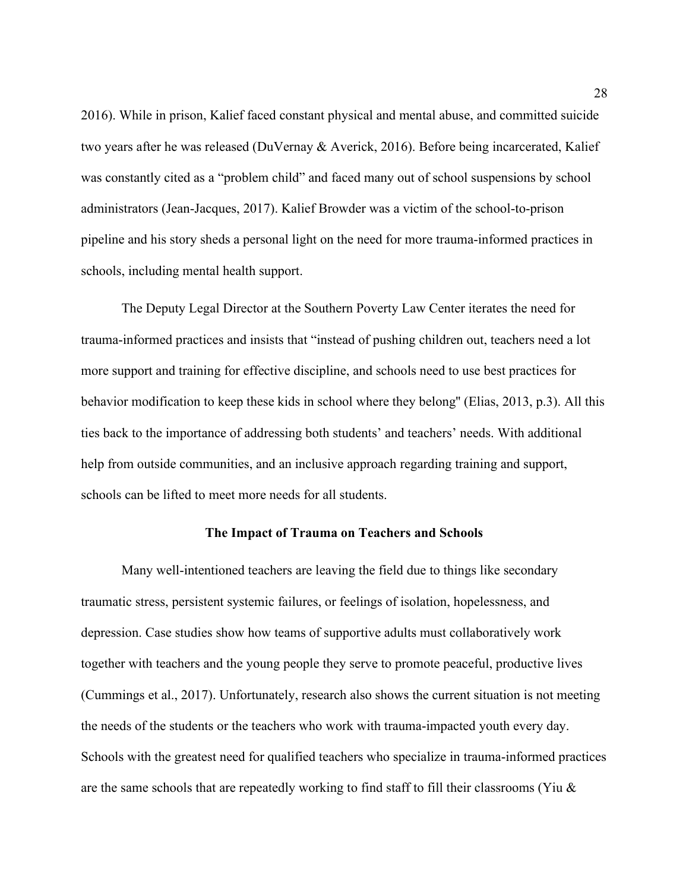2016). While in prison, Kalief faced constant physical and mental abuse, and committed suicide two years after he was released (DuVernay & Averick, 2016). Before being incarcerated, Kalief was constantly cited as a "problem child" and faced many out of school suspensions by school administrators (Jean-Jacques, 2017). Kalief Browder was a victim of the school-to-prison pipeline and his story sheds a personal light on the need for more trauma-informed practices in schools, including mental health support.

The Deputy Legal Director at the Southern Poverty Law Center iterates the need for trauma-informed practices and insists that "instead of pushing children out, teachers need a lot more support and training for effective discipline, and schools need to use best practices for behavior modification to keep these kids in school where they belong'' (Elias, 2013, p.3). All this ties back to the importance of addressing both students' and teachers' needs. With additional help from outside communities, and an inclusive approach regarding training and support, schools can be lifted to meet more needs for all students.

#### **The Impact of Trauma on Teachers and Schools**

Many well-intentioned teachers are leaving the field due to things like secondary traumatic stress, persistent systemic failures, or feelings of isolation, hopelessness, and depression. Case studies show how teams of supportive adults must collaboratively work together with teachers and the young people they serve to promote peaceful, productive lives (Cummings et al., 2017). Unfortunately, research also shows the current situation is not meeting the needs of the students or the teachers who work with trauma-impacted youth every day. Schools with the greatest need for qualified teachers who specialize in trauma-informed practices are the same schools that are repeatedly working to find staff to fill their classrooms (Yiu &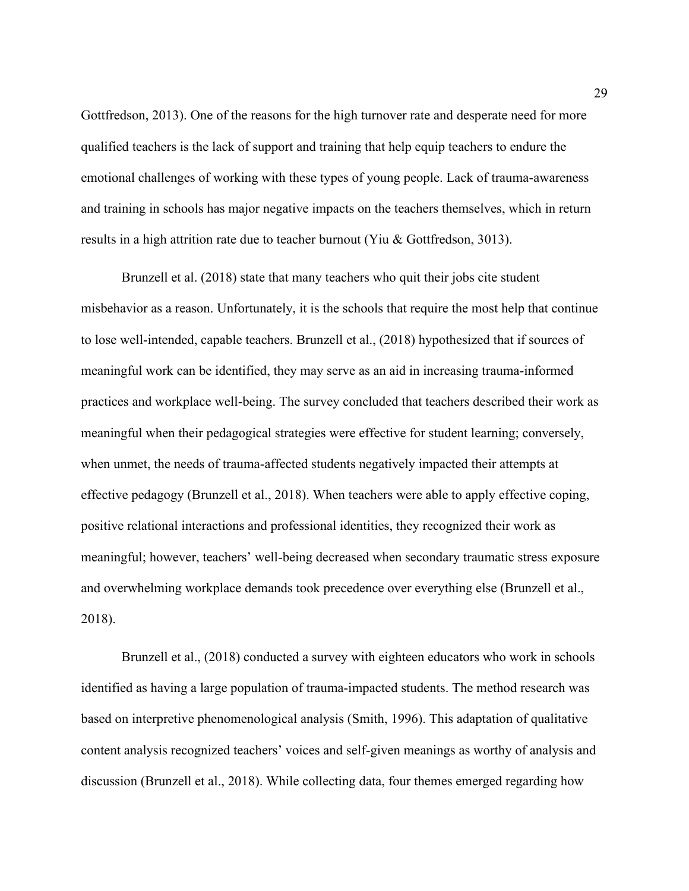Gottfredson, 2013). One of the reasons for the high turnover rate and desperate need for more qualified teachers is the lack of support and training that help equip teachers to endure the emotional challenges of working with these types of young people. Lack of trauma-awareness and training in schools has major negative impacts on the teachers themselves, which in return results in a high attrition rate due to teacher burnout (Yiu & Gottfredson, 3013).

Brunzell et al. (2018) state that many teachers who quit their jobs cite student misbehavior as a reason. Unfortunately, it is the schools that require the most help that continue to lose well-intended, capable teachers. Brunzell et al., (2018) hypothesized that if sources of meaningful work can be identified, they may serve as an aid in increasing trauma-informed practices and workplace well-being. The survey concluded that teachers described their work as meaningful when their pedagogical strategies were effective for student learning; conversely, when unmet, the needs of trauma-affected students negatively impacted their attempts at effective pedagogy (Brunzell et al., 2018). When teachers were able to apply effective coping, positive relational interactions and professional identities, they recognized their work as meaningful; however, teachers' well-being decreased when secondary traumatic stress exposure and overwhelming workplace demands took precedence over everything else (Brunzell et al., 2018).

Brunzell et al., (2018) conducted a survey with eighteen educators who work in schools identified as having a large population of trauma-impacted students. The method research was based on interpretive phenomenological analysis (Smith, 1996). This adaptation of qualitative content analysis recognized teachers' voices and self-given meanings as worthy of analysis and discussion (Brunzell et al., 2018). While collecting data, four themes emerged regarding how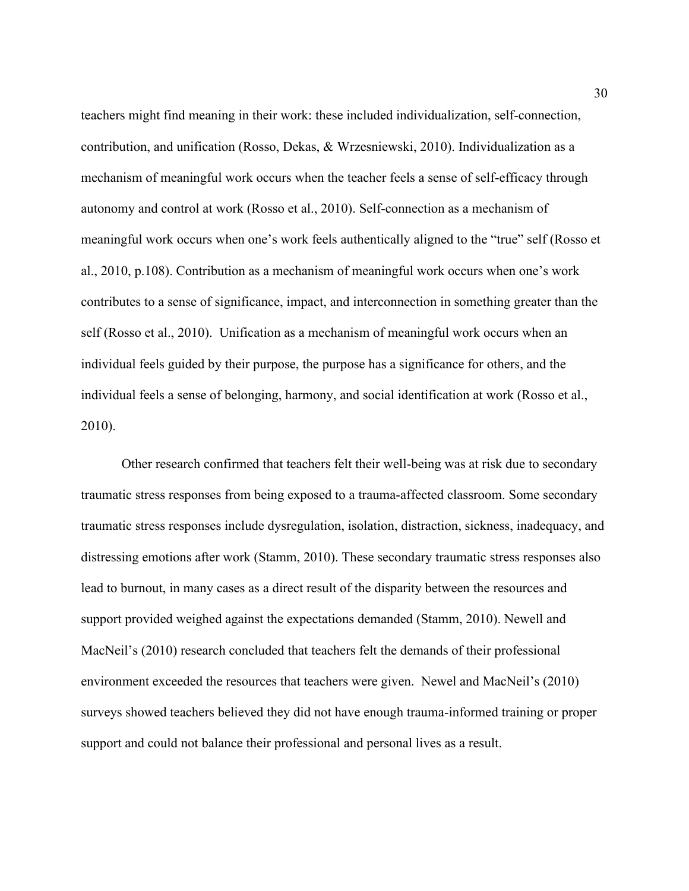teachers might find meaning in their work: these included individualization, self-connection, contribution, and unification (Rosso, Dekas, & Wrzesniewski, 2010). Individualization as a mechanism of meaningful work occurs when the teacher feels a sense of self-efficacy through autonomy and control at work (Rosso et al., 2010). Self-connection as a mechanism of meaningful work occurs when one's work feels authentically aligned to the "true" self (Rosso et al., 2010, p.108). Contribution as a mechanism of meaningful work occurs when one's work contributes to a sense of significance, impact, and interconnection in something greater than the self (Rosso et al., 2010). Unification as a mechanism of meaningful work occurs when an individual feels guided by their purpose, the purpose has a significance for others, and the individual feels a sense of belonging, harmony, and social identification at work (Rosso et al., 2010).

Other research confirmed that teachers felt their well-being was at risk due to secondary traumatic stress responses from being exposed to a trauma-affected classroom. Some secondary traumatic stress responses include dysregulation, isolation, distraction, sickness, inadequacy, and distressing emotions after work (Stamm, 2010). These secondary traumatic stress responses also lead to burnout, in many cases as a direct result of the disparity between the resources and support provided weighed against the expectations demanded (Stamm, 2010). Newell and MacNeil's (2010) research concluded that teachers felt the demands of their professional environment exceeded the resources that teachers were given. Newel and MacNeil's (2010) surveys showed teachers believed they did not have enough trauma-informed training or proper support and could not balance their professional and personal lives as a result.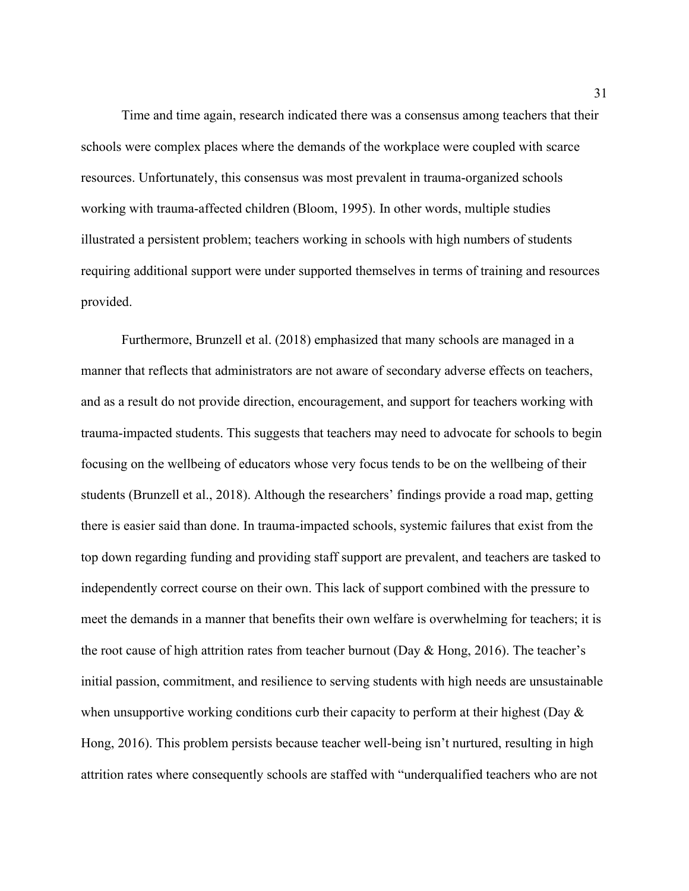Time and time again, research indicated there was a consensus among teachers that their schools were complex places where the demands of the workplace were coupled with scarce resources. Unfortunately, this consensus was most prevalent in trauma-organized schools working with trauma-affected children (Bloom, 1995). In other words, multiple studies illustrated a persistent problem; teachers working in schools with high numbers of students requiring additional support were under supported themselves in terms of training and resources provided.

Furthermore, Brunzell et al. (2018) emphasized that many schools are managed in a manner that reflects that administrators are not aware of secondary adverse effects on teachers, and as a result do not provide direction, encouragement, and support for teachers working with trauma-impacted students. This suggests that teachers may need to advocate for schools to begin focusing on the wellbeing of educators whose very focus tends to be on the wellbeing of their students (Brunzell et al., 2018). Although the researchers' findings provide a road map, getting there is easier said than done. In trauma-impacted schools, systemic failures that exist from the top down regarding funding and providing staff support are prevalent, and teachers are tasked to independently correct course on their own. This lack of support combined with the pressure to meet the demands in a manner that benefits their own welfare is overwhelming for teachers; it is the root cause of high attrition rates from teacher burnout (Day & Hong, 2016). The teacher's initial passion, commitment, and resilience to serving students with high needs are unsustainable when unsupportive working conditions curb their capacity to perform at their highest (Day  $\&$ Hong, 2016). This problem persists because teacher well-being isn't nurtured, resulting in high attrition rates where consequently schools are staffed with "underqualified teachers who are not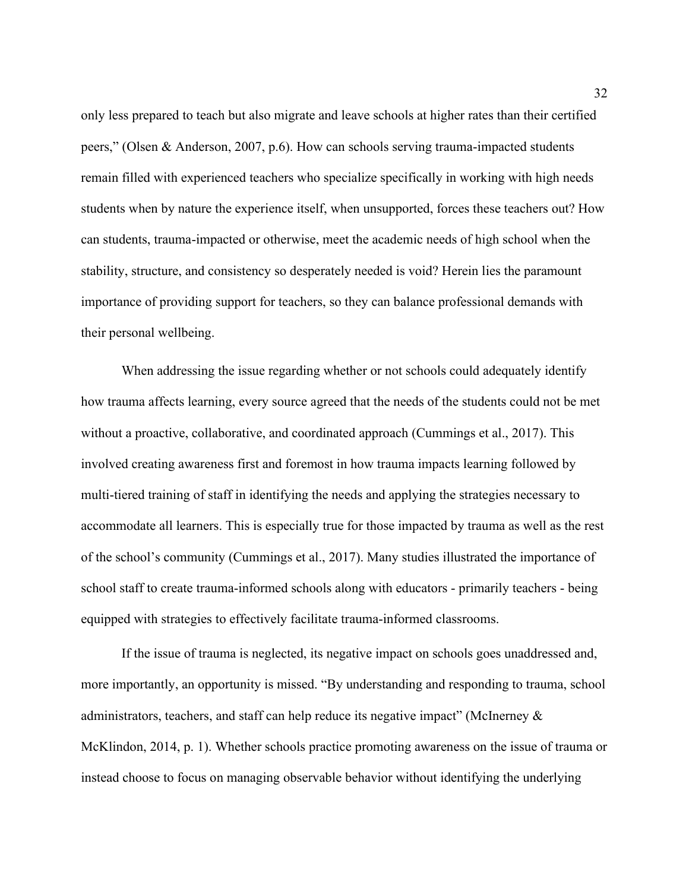only less prepared to teach but also migrate and leave schools at higher rates than their certified peers," (Olsen & Anderson, 2007, p.6). How can schools serving trauma-impacted students remain filled with experienced teachers who specialize specifically in working with high needs students when by nature the experience itself, when unsupported, forces these teachers out? How can students, trauma-impacted or otherwise, meet the academic needs of high school when the stability, structure, and consistency so desperately needed is void? Herein lies the paramount importance of providing support for teachers, so they can balance professional demands with their personal wellbeing.

When addressing the issue regarding whether or not schools could adequately identify how trauma affects learning, every source agreed that the needs of the students could not be met without a proactive, collaborative, and coordinated approach (Cummings et al., 2017). This involved creating awareness first and foremost in how trauma impacts learning followed by multi-tiered training of staff in identifying the needs and applying the strategies necessary to accommodate all learners. This is especially true for those impacted by trauma as well as the rest of the school's community (Cummings et al., 2017). Many studies illustrated the importance of school staff to create trauma-informed schools along with educators - primarily teachers - being equipped with strategies to effectively facilitate trauma-informed classrooms.

If the issue of trauma is neglected, its negative impact on schools goes unaddressed and, more importantly, an opportunity is missed. "By understanding and responding to trauma, school administrators, teachers, and staff can help reduce its negative impact" (McInerney & McKlindon, 2014, p. 1). Whether schools practice promoting awareness on the issue of trauma or instead choose to focus on managing observable behavior without identifying the underlying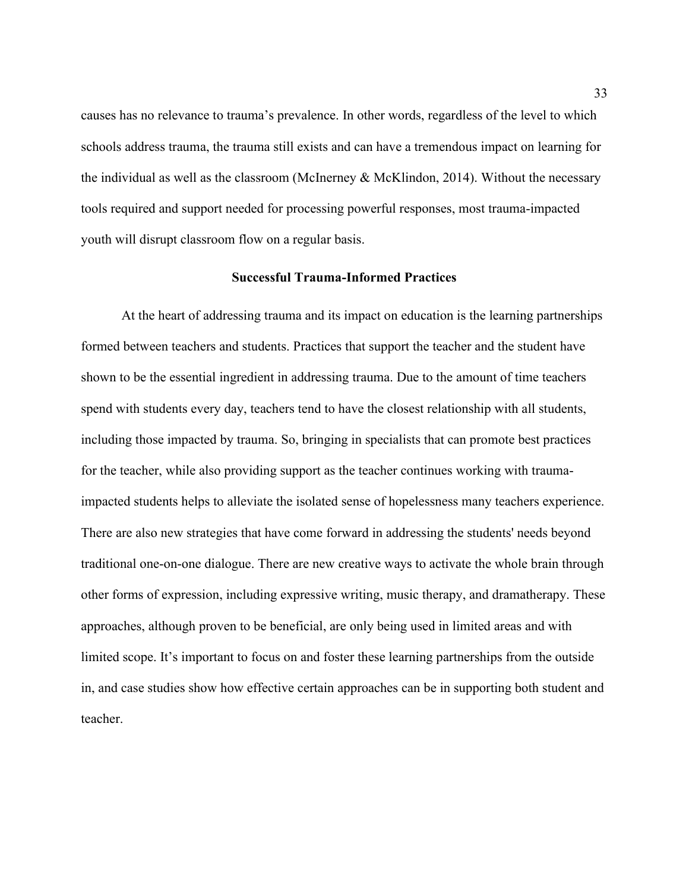causes has no relevance to trauma's prevalence. In other words, regardless of the level to which schools address trauma, the trauma still exists and can have a tremendous impact on learning for the individual as well as the classroom (McInerney & McKlindon, 2014). Without the necessary tools required and support needed for processing powerful responses, most trauma-impacted youth will disrupt classroom flow on a regular basis.

#### **Successful Trauma-Informed Practices**

At the heart of addressing trauma and its impact on education is the learning partnerships formed between teachers and students. Practices that support the teacher and the student have shown to be the essential ingredient in addressing trauma. Due to the amount of time teachers spend with students every day, teachers tend to have the closest relationship with all students, including those impacted by trauma. So, bringing in specialists that can promote best practices for the teacher, while also providing support as the teacher continues working with traumaimpacted students helps to alleviate the isolated sense of hopelessness many teachers experience. There are also new strategies that have come forward in addressing the students' needs beyond traditional one-on-one dialogue. There are new creative ways to activate the whole brain through other forms of expression, including expressive writing, music therapy, and dramatherapy. These approaches, although proven to be beneficial, are only being used in limited areas and with limited scope. It's important to focus on and foster these learning partnerships from the outside in, and case studies show how effective certain approaches can be in supporting both student and teacher.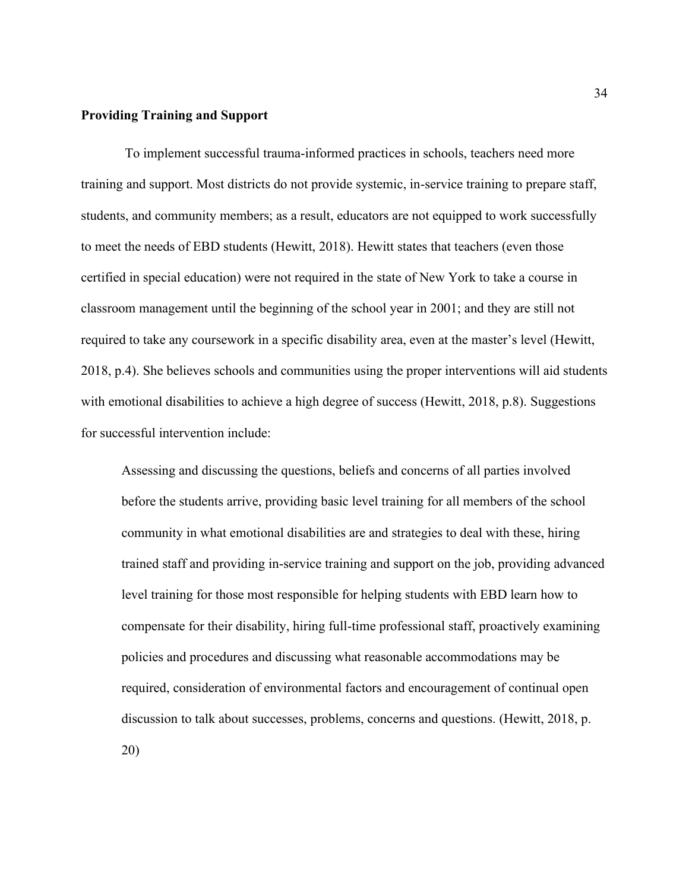#### **Providing Training and Support**

To implement successful trauma-informed practices in schools, teachers need more training and support. Most districts do not provide systemic, in-service training to prepare staff, students, and community members; as a result, educators are not equipped to work successfully to meet the needs of EBD students (Hewitt, 2018). Hewitt states that teachers (even those certified in special education) were not required in the state of New York to take a course in classroom management until the beginning of the school year in 2001; and they are still not required to take any coursework in a specific disability area, even at the master's level (Hewitt, 2018, p.4). She believes schools and communities using the proper interventions will aid students with emotional disabilities to achieve a high degree of success (Hewitt, 2018, p.8). Suggestions for successful intervention include:

Assessing and discussing the questions, beliefs and concerns of all parties involved before the students arrive, providing basic level training for all members of the school community in what emotional disabilities are and strategies to deal with these, hiring trained staff and providing in-service training and support on the job, providing advanced level training for those most responsible for helping students with EBD learn how to compensate for their disability, hiring full-time professional staff, proactively examining policies and procedures and discussing what reasonable accommodations may be required, consideration of environmental factors and encouragement of continual open discussion to talk about successes, problems, concerns and questions. (Hewitt, 2018, p.

20)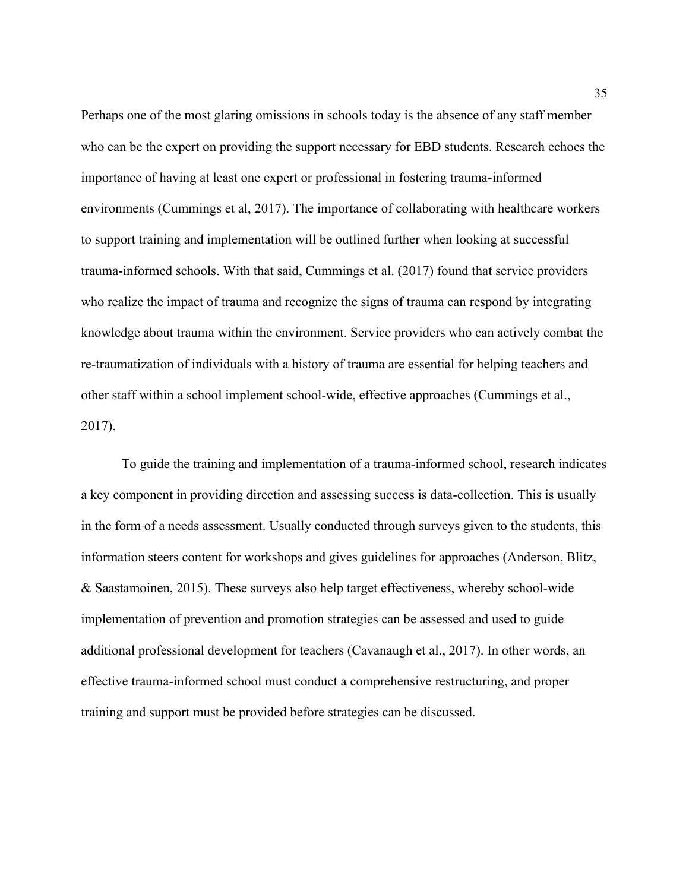Perhaps one of the most glaring omissions in schools today is the absence of any staff member who can be the expert on providing the support necessary for EBD students. Research echoes the importance of having at least one expert or professional in fostering trauma-informed environments (Cummings et al, 2017). The importance of collaborating with healthcare workers to support training and implementation will be outlined further when looking at successful trauma-informed schools. With that said, Cummings et al. (2017) found that service providers who realize the impact of trauma and recognize the signs of trauma can respond by integrating knowledge about trauma within the environment. Service providers who can actively combat the re-traumatization of individuals with a history of trauma are essential for helping teachers and other staff within a school implement school-wide, effective approaches (Cummings et al., 2017).

To guide the training and implementation of a trauma-informed school, research indicates a key component in providing direction and assessing success is data-collection. This is usually in the form of a needs assessment. Usually conducted through surveys given to the students, this information steers content for workshops and gives guidelines for approaches (Anderson, Blitz, & Saastamoinen, 2015). These surveys also help target effectiveness, whereby school-wide implementation of prevention and promotion strategies can be assessed and used to guide additional professional development for teachers (Cavanaugh et al., 2017). In other words, an effective trauma-informed school must conduct a comprehensive restructuring, and proper training and support must be provided before strategies can be discussed.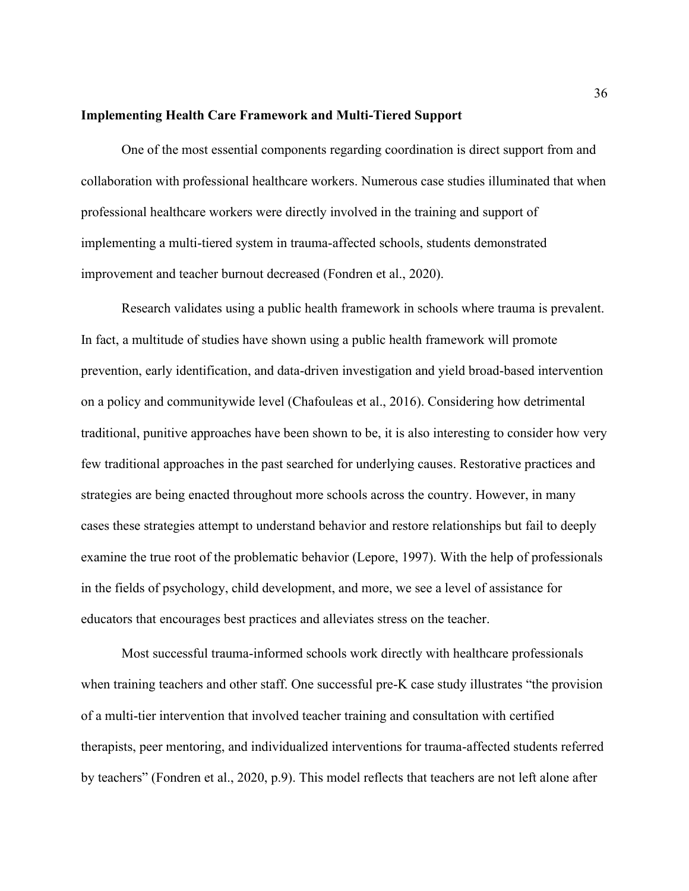#### **Implementing Health Care Framework and Multi-Tiered Support**

One of the most essential components regarding coordination is direct support from and collaboration with professional healthcare workers. Numerous case studies illuminated that when professional healthcare workers were directly involved in the training and support of implementing a multi-tiered system in trauma-affected schools, students demonstrated improvement and teacher burnout decreased (Fondren et al., 2020).

Research validates using a public health framework in schools where trauma is prevalent. In fact, a multitude of studies have shown using a public health framework will promote prevention, early identification, and data-driven investigation and yield broad-based intervention on a policy and communitywide level (Chafouleas et al., 2016). Considering how detrimental traditional, punitive approaches have been shown to be, it is also interesting to consider how very few traditional approaches in the past searched for underlying causes. Restorative practices and strategies are being enacted throughout more schools across the country. However, in many cases these strategies attempt to understand behavior and restore relationships but fail to deeply examine the true root of the problematic behavior (Lepore, 1997). With the help of professionals in the fields of psychology, child development, and more, we see a level of assistance for educators that encourages best practices and alleviates stress on the teacher.

Most successful trauma-informed schools work directly with healthcare professionals when training teachers and other staff. One successful pre-K case study illustrates "the provision of a multi-tier intervention that involved teacher training and consultation with certified therapists, peer mentoring, and individualized interventions for trauma-affected students referred by teachers" (Fondren et al., 2020, p.9). This model reflects that teachers are not left alone after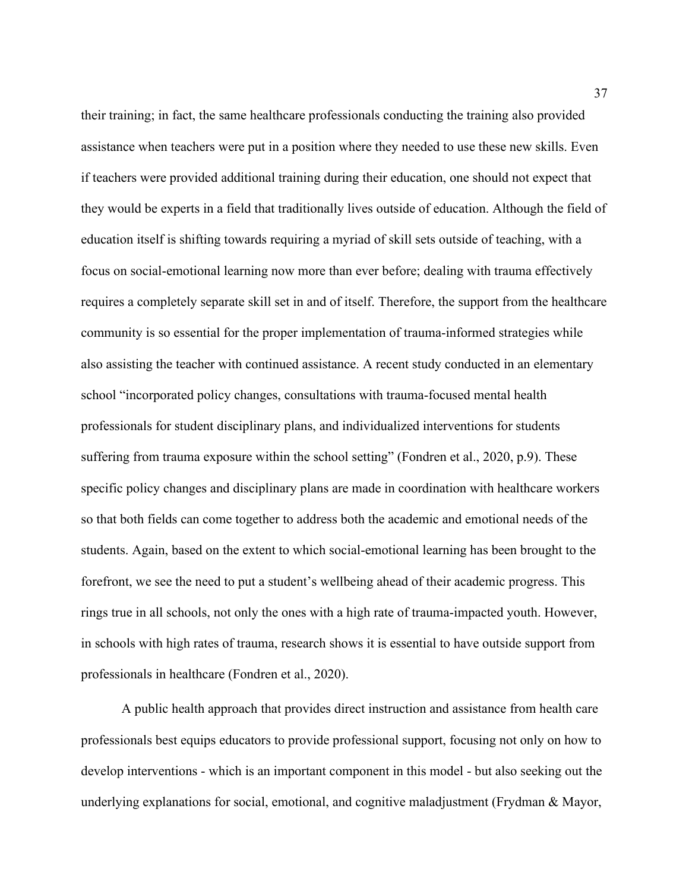their training; in fact, the same healthcare professionals conducting the training also provided assistance when teachers were put in a position where they needed to use these new skills. Even if teachers were provided additional training during their education, one should not expect that they would be experts in a field that traditionally lives outside of education. Although the field of education itself is shifting towards requiring a myriad of skill sets outside of teaching, with a focus on social-emotional learning now more than ever before; dealing with trauma effectively requires a completely separate skill set in and of itself. Therefore, the support from the healthcare community is so essential for the proper implementation of trauma-informed strategies while also assisting the teacher with continued assistance. A recent study conducted in an elementary school "incorporated policy changes, consultations with trauma-focused mental health professionals for student disciplinary plans, and individualized interventions for students suffering from trauma exposure within the school setting" (Fondren et al., 2020, p.9). These specific policy changes and disciplinary plans are made in coordination with healthcare workers so that both fields can come together to address both the academic and emotional needs of the students. Again, based on the extent to which social-emotional learning has been brought to the forefront, we see the need to put a student's wellbeing ahead of their academic progress. This rings true in all schools, not only the ones with a high rate of trauma-impacted youth. However, in schools with high rates of trauma, research shows it is essential to have outside support from professionals in healthcare (Fondren et al., 2020).

A public health approach that provides direct instruction and assistance from health care professionals best equips educators to provide professional support, focusing not only on how to develop interventions - which is an important component in this model - but also seeking out the underlying explanations for social, emotional, and cognitive maladjustment (Frydman & Mayor,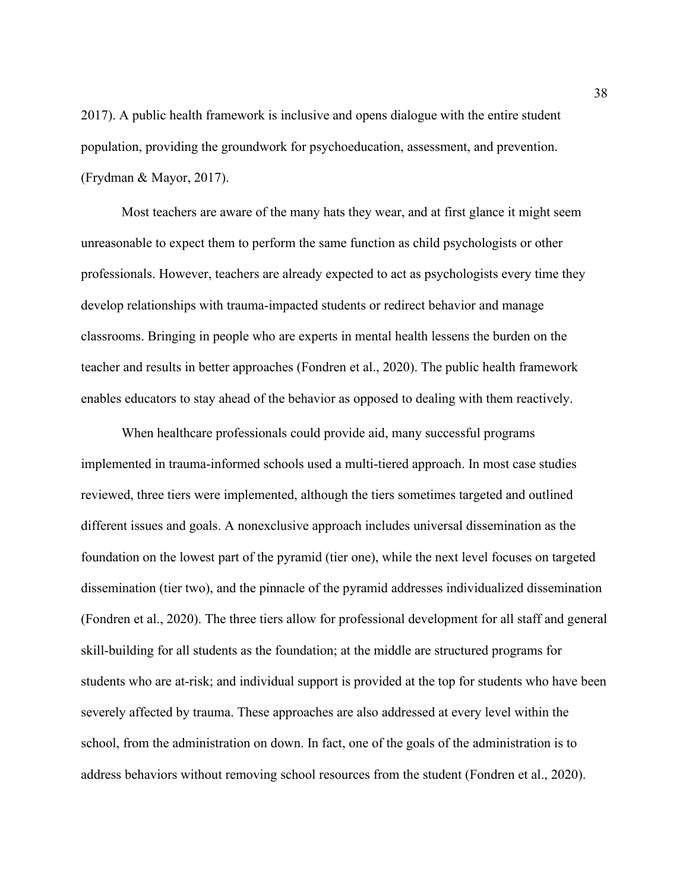2017). A public health framework is inclusive and opens dialogue with the entire student population, providing the groundwork for psychoeducation, assessment, and prevention. (Frydman & Mayor, 2017).

Most teachers are aware of the many hats they wear, and at first glance it might seem unreasonable to expect them to perform the same function as child psychologists or other professionals. However, teachers are already expected to act as psychologists every time they develop relationships with trauma-impacted students or redirect behavior and manage classrooms. Bringing in people who are experts in mental health lessens the burden on the teacher and results in better approaches (Fondren et al., 2020). The public health framework enables educators to stay ahead of the behavior as opposed to dealing with them reactively.

When healthcare professionals could provide aid, many successful programs implemented in trauma-informed schools used a multi-tiered approach. In most case studies reviewed, three tiers were implemented, although the tiers sometimes targeted and outlined different issues and goals. A nonexclusive approach includes universal dissemination as the foundation on the lowest part of the pyramid (tier one), while the next level focuses on targeted dissemination (tier two), and the pinnacle of the pyramid addresses individualized dissemination (Fondren et al., 2020). The three tiers allow for professional development for all staff and general skill-building for all students as the foundation; at the middle are structured programs for students who are at-risk; and individual support is provided at the top for students who have been severely affected by trauma. These approaches are also addressed at every level within the school, from the administration on down. In fact, one of the goals of the administration is to address behaviors without removing school resources from the student (Fondren et al., 2020).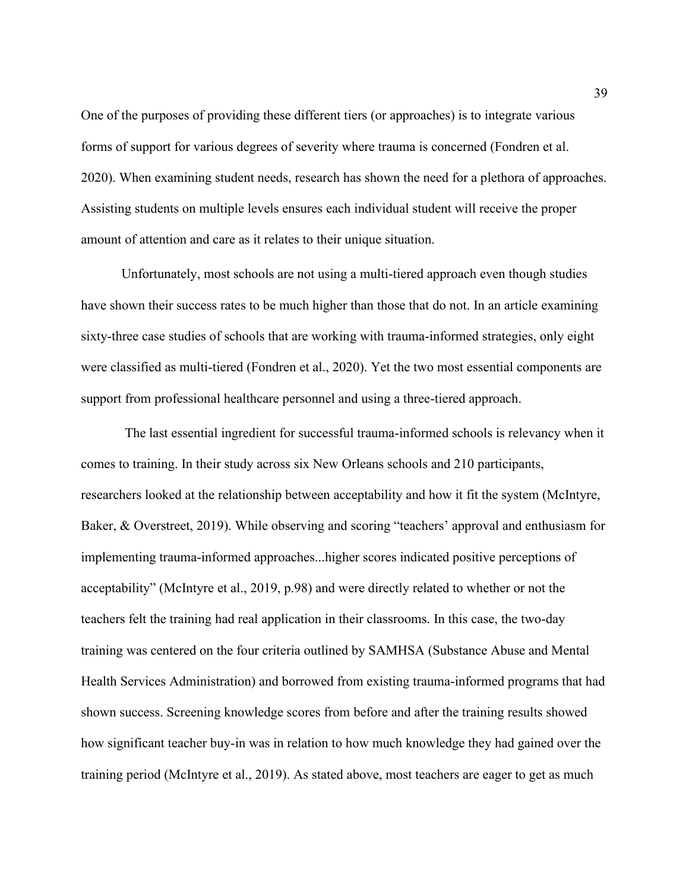One of the purposes of providing these different tiers (or approaches) is to integrate various forms of support for various degrees of severity where trauma is concerned (Fondren et al. 2020). When examining student needs, research has shown the need for a plethora of approaches. Assisting students on multiple levels ensures each individual student will receive the proper amount of attention and care as it relates to their unique situation.

Unfortunately, most schools are not using a multi-tiered approach even though studies have shown their success rates to be much higher than those that do not. In an article examining sixty-three case studies of schools that are working with trauma-informed strategies, only eight were classified as multi-tiered (Fondren et al., 2020). Yet the two most essential components are support from professional healthcare personnel and using a three-tiered approach.

The last essential ingredient for successful trauma-informed schools is relevancy when it comes to training. In their study across six New Orleans schools and 210 participants, researchers looked at the relationship between acceptability and how it fit the system (McIntyre, Baker, & Overstreet, 2019). While observing and scoring "teachers' approval and enthusiasm for implementing trauma-informed approaches...higher scores indicated positive perceptions of acceptability" (McIntyre et al., 2019, p.98) and were directly related to whether or not the teachers felt the training had real application in their classrooms. In this case, the two-day training was centered on the four criteria outlined by SAMHSA (Substance Abuse and Mental Health Services Administration) and borrowed from existing trauma-informed programs that had shown success. Screening knowledge scores from before and after the training results showed how significant teacher buy-in was in relation to how much knowledge they had gained over the training period (McIntyre et al., 2019). As stated above, most teachers are eager to get as much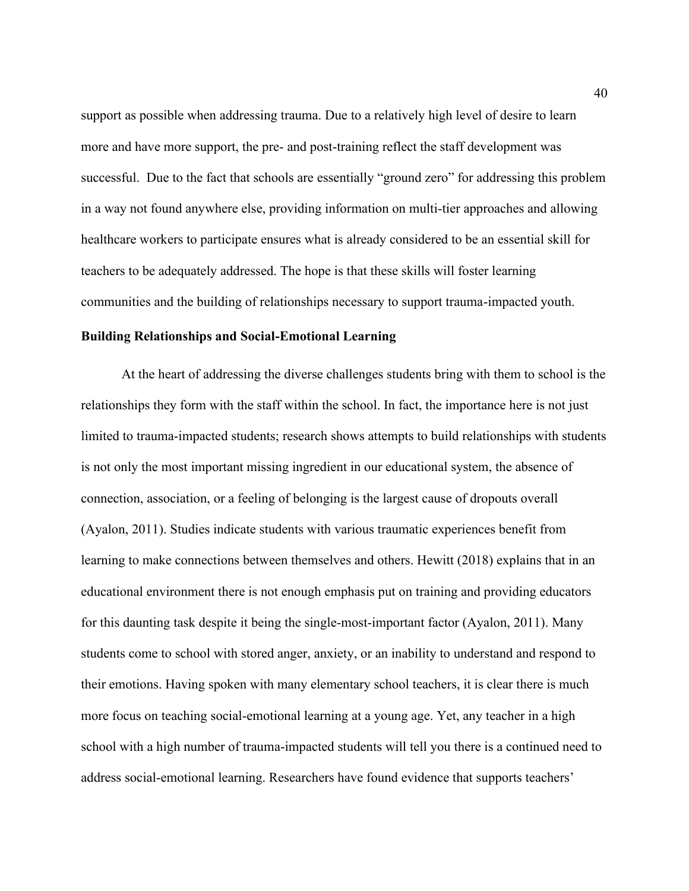support as possible when addressing trauma. Due to a relatively high level of desire to learn more and have more support, the pre- and post-training reflect the staff development was successful. Due to the fact that schools are essentially "ground zero" for addressing this problem in a way not found anywhere else, providing information on multi-tier approaches and allowing healthcare workers to participate ensures what is already considered to be an essential skill for teachers to be adequately addressed. The hope is that these skills will foster learning communities and the building of relationships necessary to support trauma-impacted youth.

#### **Building Relationships and Social-Emotional Learning**

At the heart of addressing the diverse challenges students bring with them to school is the relationships they form with the staff within the school. In fact, the importance here is not just limited to trauma-impacted students; research shows attempts to build relationships with students is not only the most important missing ingredient in our educational system, the absence of connection, association, or a feeling of belonging is the largest cause of dropouts overall (Ayalon, 2011). Studies indicate students with various traumatic experiences benefit from learning to make connections between themselves and others. Hewitt (2018) explains that in an educational environment there is not enough emphasis put on training and providing educators for this daunting task despite it being the single-most-important factor (Ayalon, 2011). Many students come to school with stored anger, anxiety, or an inability to understand and respond to their emotions. Having spoken with many elementary school teachers, it is clear there is much more focus on teaching social-emotional learning at a young age. Yet, any teacher in a high school with a high number of trauma-impacted students will tell you there is a continued need to address social-emotional learning. Researchers have found evidence that supports teachers'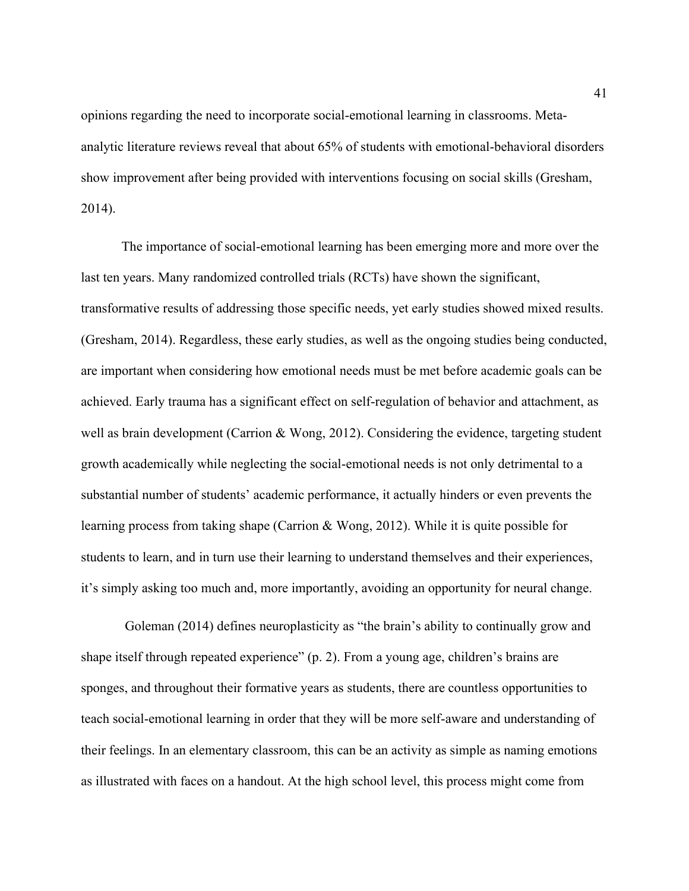opinions regarding the need to incorporate social-emotional learning in classrooms. Metaanalytic literature reviews reveal that about 65% of students with emotional-behavioral disorders show improvement after being provided with interventions focusing on social skills (Gresham, 2014).

The importance of social-emotional learning has been emerging more and more over the last ten years. Many randomized controlled trials (RCTs) have shown the significant, transformative results of addressing those specific needs, yet early studies showed mixed results. (Gresham, 2014). Regardless, these early studies, as well as the ongoing studies being conducted, are important when considering how emotional needs must be met before academic goals can be achieved. Early trauma has a significant effect on self-regulation of behavior and attachment, as well as brain development (Carrion & Wong, 2012). Considering the evidence, targeting student growth academically while neglecting the social-emotional needs is not only detrimental to a substantial number of students' academic performance, it actually hinders or even prevents the learning process from taking shape (Carrion & Wong, 2012). While it is quite possible for students to learn, and in turn use their learning to understand themselves and their experiences, it's simply asking too much and, more importantly, avoiding an opportunity for neural change.

Goleman (2014) defines neuroplasticity as "the brain's ability to continually grow and shape itself through repeated experience" (p. 2). From a young age, children's brains are sponges, and throughout their formative years as students, there are countless opportunities to teach social-emotional learning in order that they will be more self-aware and understanding of their feelings. In an elementary classroom, this can be an activity as simple as naming emotions as illustrated with faces on a handout. At the high school level, this process might come from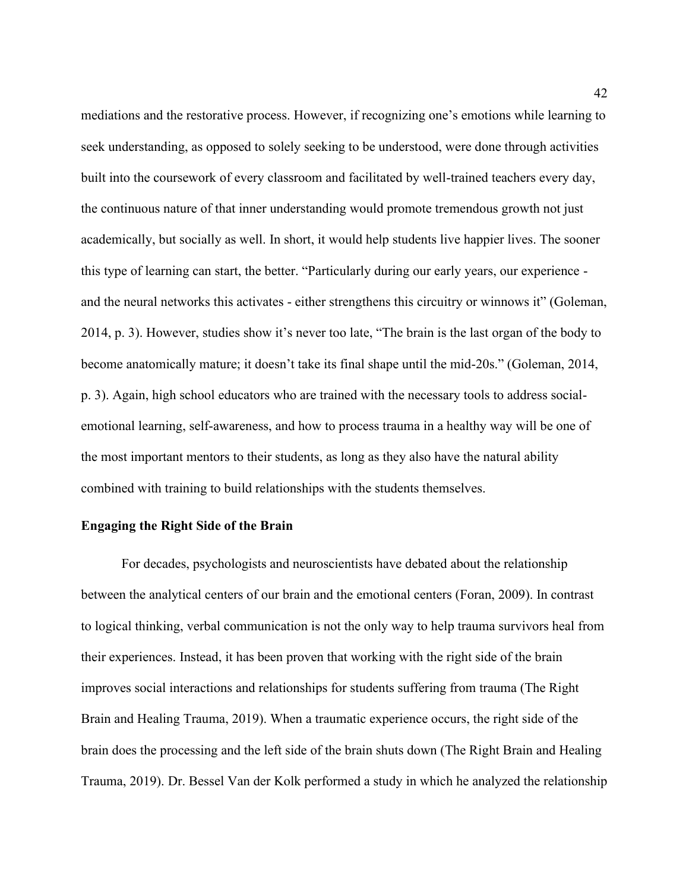mediations and the restorative process. However, if recognizing one's emotions while learning to seek understanding, as opposed to solely seeking to be understood, were done through activities built into the coursework of every classroom and facilitated by well-trained teachers every day, the continuous nature of that inner understanding would promote tremendous growth not just academically, but socially as well. In short, it would help students live happier lives. The sooner this type of learning can start, the better. "Particularly during our early years, our experience and the neural networks this activates - either strengthens this circuitry or winnows it" (Goleman, 2014, p. 3). However, studies show it's never too late, "The brain is the last organ of the body to become anatomically mature; it doesn't take its final shape until the mid-20s." (Goleman, 2014, p. 3). Again, high school educators who are trained with the necessary tools to address socialemotional learning, self-awareness, and how to process trauma in a healthy way will be one of the most important mentors to their students, as long as they also have the natural ability combined with training to build relationships with the students themselves.

#### **Engaging the Right Side of the Brain**

For decades, psychologists and neuroscientists have debated about the relationship between the analytical centers of our brain and the emotional centers (Foran, 2009). In contrast to logical thinking, verbal communication is not the only way to help trauma survivors heal from their experiences. Instead, it has been proven that working with the right side of the brain improves social interactions and relationships for students suffering from trauma (The Right Brain and Healing Trauma, 2019). When a traumatic experience occurs, the right side of the brain does the processing and the left side of the brain shuts down (The Right Brain and Healing Trauma, 2019). Dr. Bessel Van der Kolk performed a study in which he analyzed the relationship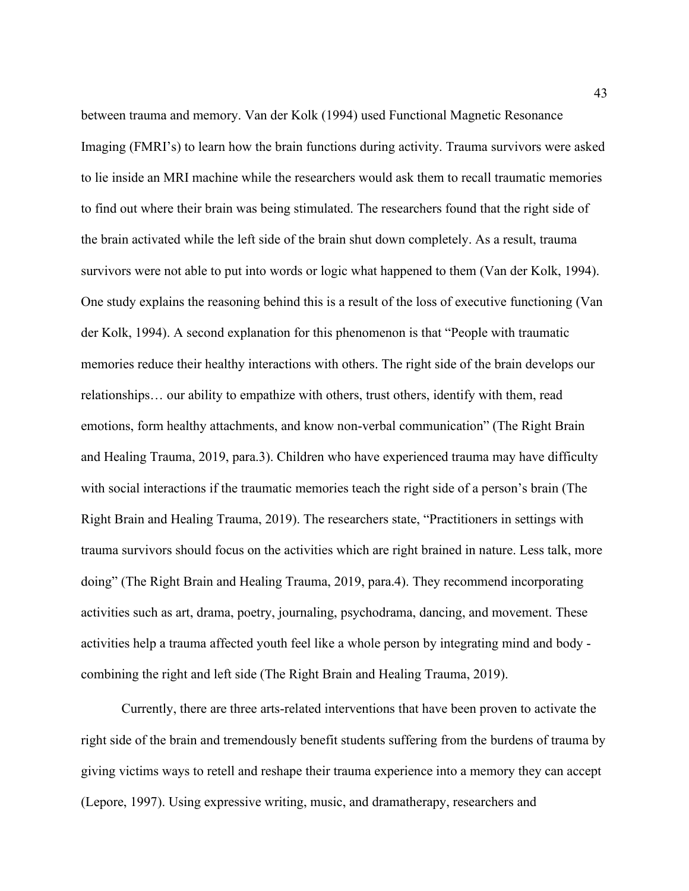between trauma and memory. Van der Kolk (1994) used Functional Magnetic Resonance Imaging (FMRI's) to learn how the brain functions during activity. Trauma survivors were asked to lie inside an MRI machine while the researchers would ask them to recall traumatic memories to find out where their brain was being stimulated. The researchers found that the right side of the brain activated while the left side of the brain shut down completely. As a result, trauma survivors were not able to put into words or logic what happened to them (Van der Kolk, 1994). One study explains the reasoning behind this is a result of the loss of executive functioning (Van der Kolk, 1994). A second explanation for this phenomenon is that "People with traumatic memories reduce their healthy interactions with others. The right side of the brain develops our relationships… our ability to empathize with others, trust others, identify with them, read emotions, form healthy attachments, and know non-verbal communication" (The Right Brain and Healing Trauma, 2019, para.3). Children who have experienced trauma may have difficulty with social interactions if the traumatic memories teach the right side of a person's brain (The Right Brain and Healing Trauma, 2019). The researchers state, "Practitioners in settings with trauma survivors should focus on the activities which are right brained in nature. Less talk, more doing" (The Right Brain and Healing Trauma, 2019, para.4). They recommend incorporating activities such as art, drama, poetry, journaling, psychodrama, dancing, and movement. These activities help a trauma affected youth feel like a whole person by integrating mind and body combining the right and left side (The Right Brain and Healing Trauma, 2019).

Currently, there are three arts-related interventions that have been proven to activate the right side of the brain and tremendously benefit students suffering from the burdens of trauma by giving victims ways to retell and reshape their trauma experience into a memory they can accept (Lepore, 1997). Using expressive writing, music, and dramatherapy, researchers and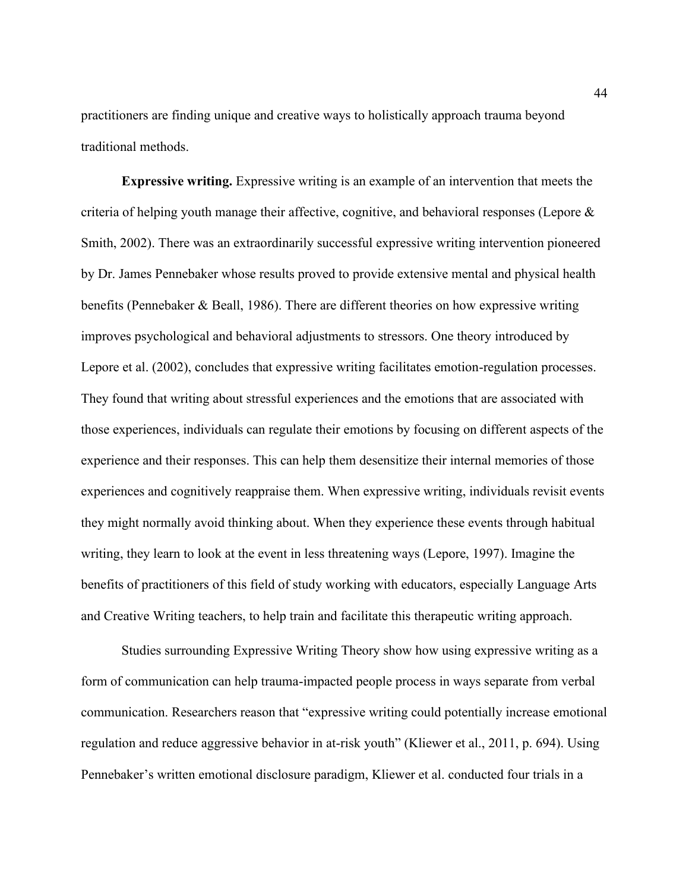practitioners are finding unique and creative ways to holistically approach trauma beyond traditional methods.

**Expressive writing.** Expressive writing is an example of an intervention that meets the criteria of helping youth manage their affective, cognitive, and behavioral responses (Lepore  $\&$ Smith, 2002). There was an extraordinarily successful expressive writing intervention pioneered by Dr. James Pennebaker whose results proved to provide extensive mental and physical health benefits (Pennebaker & Beall, 1986). There are different theories on how expressive writing improves psychological and behavioral adjustments to stressors. One theory introduced by Lepore et al. (2002), concludes that expressive writing facilitates emotion-regulation processes. They found that writing about stressful experiences and the emotions that are associated with those experiences, individuals can regulate their emotions by focusing on different aspects of the experience and their responses. This can help them desensitize their internal memories of those experiences and cognitively reappraise them. When expressive writing, individuals revisit events they might normally avoid thinking about. When they experience these events through habitual writing, they learn to look at the event in less threatening ways (Lepore, 1997). Imagine the benefits of practitioners of this field of study working with educators, especially Language Arts and Creative Writing teachers, to help train and facilitate this therapeutic writing approach.

Studies surrounding Expressive Writing Theory show how using expressive writing as a form of communication can help trauma-impacted people process in ways separate from verbal communication. Researchers reason that "expressive writing could potentially increase emotional regulation and reduce aggressive behavior in at-risk youth" (Kliewer et al., 2011, p. 694). Using Pennebaker's written emotional disclosure paradigm, Kliewer et al. conducted four trials in a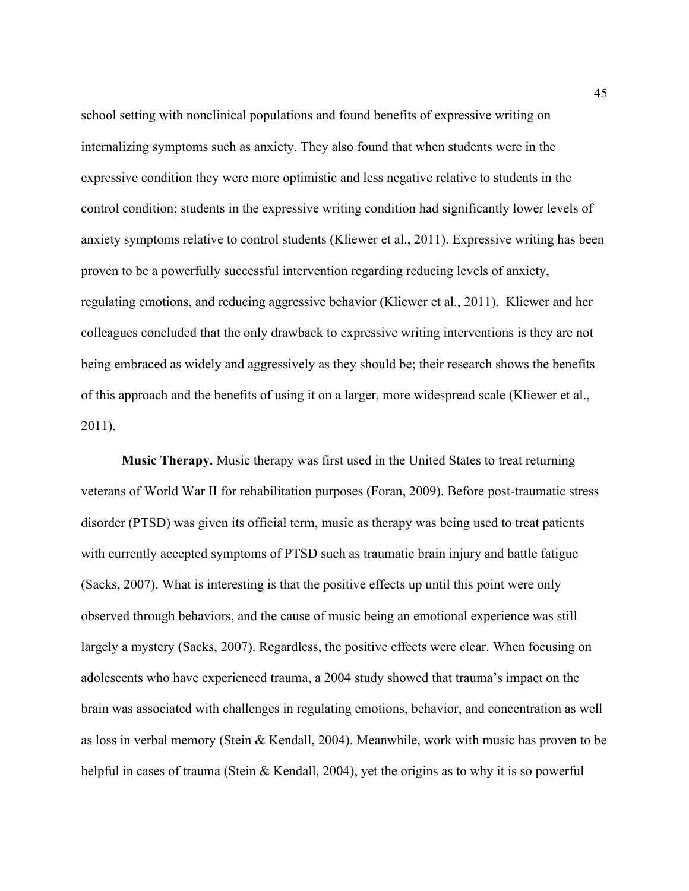school setting with nonclinical populations and found benefits of expressive writing on internalizing symptoms such as anxiety. They also found that when students were in the expressive condition they were more optimistic and less negative relative to students in the control condition; students in the expressive writing condition had significantly lower levels of anxiety symptoms relative to control students (Kliewer et al., 2011). Expressive writing has been proven to be a powerfully successful intervention regarding reducing levels of anxiety, regulating emotions, and reducing aggressive behavior (Kliewer et al., 2011). Kliewer and her colleagues concluded that the only drawback to expressive writing interventions is they are not being embraced as widely and aggressively as they should be; their research shows the benefits of this approach and the benefits of using it on a larger, more widespread scale (Kliewer et al., 2011).

**Music Therapy.** Music therapy was first used in the United States to treat returning veterans of World War II for rehabilitation purposes (Foran, 2009). Before post-traumatic stress disorder (PTSD) was given its official term, music as therapy was being used to treat patients with currently accepted symptoms of PTSD such as traumatic brain injury and battle fatigue (Sacks, 2007). What is interesting is that the positive effects up until this point were only observed through behaviors, and the cause of music being an emotional experience was still largely a mystery (Sacks, 2007). Regardless, the positive effects were clear. When focusing on adolescents who have experienced trauma, a 2004 study showed that trauma's impact on the brain was associated with challenges in regulating emotions, behavior, and concentration as well as loss in verbal memory (Stein & Kendall, 2004). Meanwhile, work with music has proven to be helpful in cases of trauma (Stein & Kendall, 2004), yet the origins as to why it is so powerful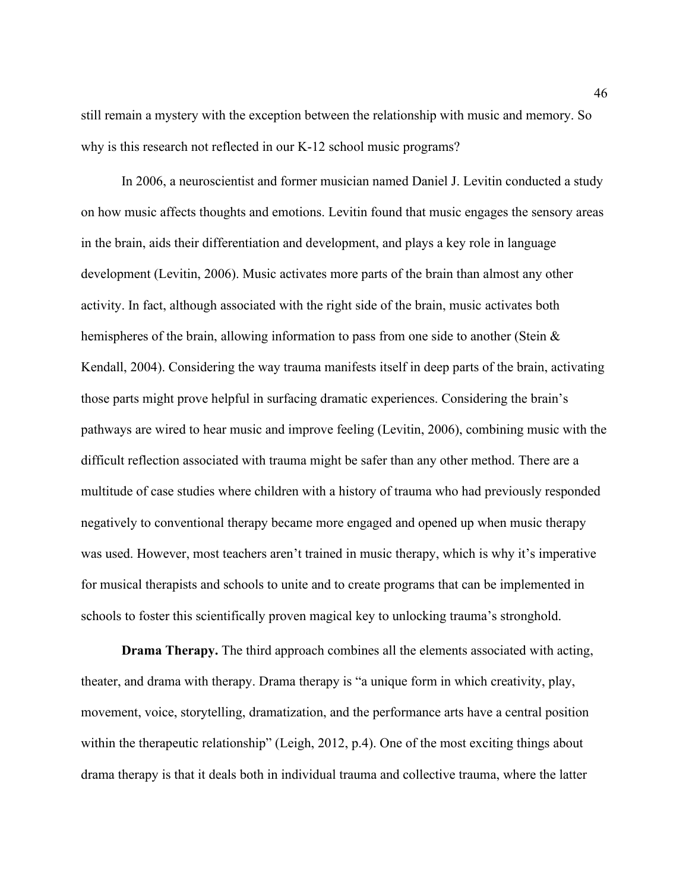still remain a mystery with the exception between the relationship with music and memory. So why is this research not reflected in our K-12 school music programs?

In 2006, a neuroscientist and former musician named Daniel J. Levitin conducted a study on how music affects thoughts and emotions. Levitin found that music engages the sensory areas in the brain, aids their differentiation and development, and plays a key role in language development (Levitin, 2006). Music activates more parts of the brain than almost any other activity. In fact, although associated with the right side of the brain, music activates both hemispheres of the brain, allowing information to pass from one side to another (Stein & Kendall, 2004). Considering the way trauma manifests itself in deep parts of the brain, activating those parts might prove helpful in surfacing dramatic experiences. Considering the brain's pathways are wired to hear music and improve feeling (Levitin, 2006), combining music with the difficult reflection associated with trauma might be safer than any other method. There are a multitude of case studies where children with a history of trauma who had previously responded negatively to conventional therapy became more engaged and opened up when music therapy was used. However, most teachers aren't trained in music therapy, which is why it's imperative for musical therapists and schools to unite and to create programs that can be implemented in schools to foster this scientifically proven magical key to unlocking trauma's stronghold.

**Drama Therapy.** The third approach combines all the elements associated with acting, theater, and drama with therapy. Drama therapy is "a unique form in which creativity, play, movement, voice, storytelling, dramatization, and the performance arts have a central position within the therapeutic relationship" (Leigh, 2012, p.4). One of the most exciting things about drama therapy is that it deals both in individual trauma and collective trauma, where the latter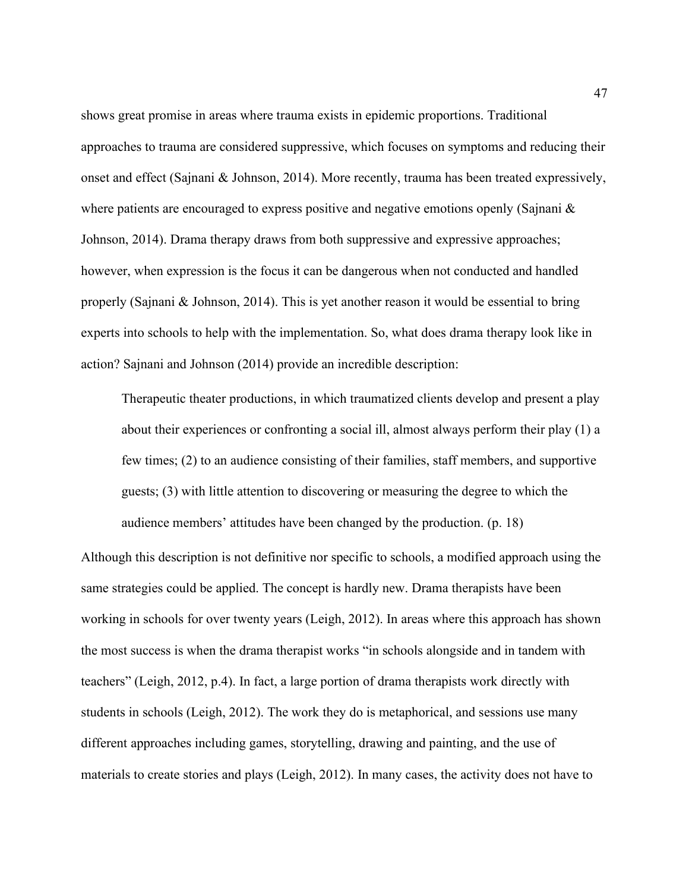shows great promise in areas where trauma exists in epidemic proportions. Traditional approaches to trauma are considered suppressive, which focuses on symptoms and reducing their onset and effect (Sajnani & Johnson, 2014). More recently, trauma has been treated expressively, where patients are encouraged to express positive and negative emotions openly (Sajnani  $\&$ Johnson, 2014). Drama therapy draws from both suppressive and expressive approaches; however, when expression is the focus it can be dangerous when not conducted and handled properly (Sajnani & Johnson, 2014). This is yet another reason it would be essential to bring experts into schools to help with the implementation. So, what does drama therapy look like in action? Sajnani and Johnson (2014) provide an incredible description:

Therapeutic theater productions, in which traumatized clients develop and present a play about their experiences or confronting a social ill, almost always perform their play (1) a few times; (2) to an audience consisting of their families, staff members, and supportive guests; (3) with little attention to discovering or measuring the degree to which the audience members' attitudes have been changed by the production. (p. 18)

Although this description is not definitive nor specific to schools, a modified approach using the same strategies could be applied. The concept is hardly new. Drama therapists have been working in schools for over twenty years (Leigh, 2012). In areas where this approach has shown the most success is when the drama therapist works "in schools alongside and in tandem with teachers" (Leigh, 2012, p.4). In fact, a large portion of drama therapists work directly with students in schools (Leigh, 2012). The work they do is metaphorical, and sessions use many different approaches including games, storytelling, drawing and painting, and the use of materials to create stories and plays (Leigh, 2012). In many cases, the activity does not have to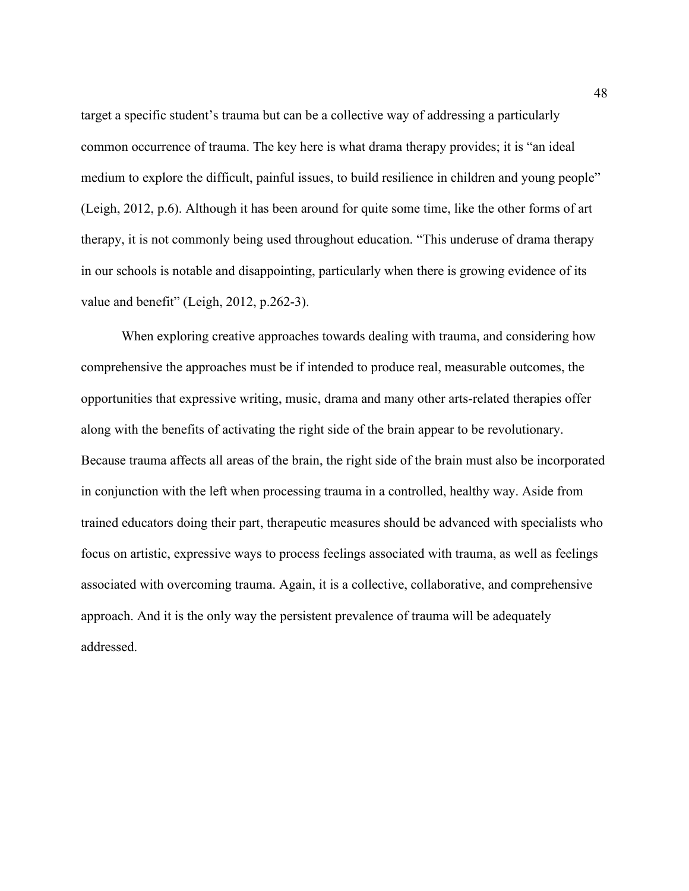target a specific student's trauma but can be a collective way of addressing a particularly common occurrence of trauma. The key here is what drama therapy provides; it is "an ideal medium to explore the difficult, painful issues, to build resilience in children and young people" (Leigh, 2012, p.6). Although it has been around for quite some time, like the other forms of art therapy, it is not commonly being used throughout education. "This underuse of drama therapy in our schools is notable and disappointing, particularly when there is growing evidence of its value and benefit" (Leigh, 2012, p.262-3).

When exploring creative approaches towards dealing with trauma, and considering how comprehensive the approaches must be if intended to produce real, measurable outcomes, the opportunities that expressive writing, music, drama and many other arts-related therapies offer along with the benefits of activating the right side of the brain appear to be revolutionary. Because trauma affects all areas of the brain, the right side of the brain must also be incorporated in conjunction with the left when processing trauma in a controlled, healthy way. Aside from trained educators doing their part, therapeutic measures should be advanced with specialists who focus on artistic, expressive ways to process feelings associated with trauma, as well as feelings associated with overcoming trauma. Again, it is a collective, collaborative, and comprehensive approach. And it is the only way the persistent prevalence of trauma will be adequately addressed.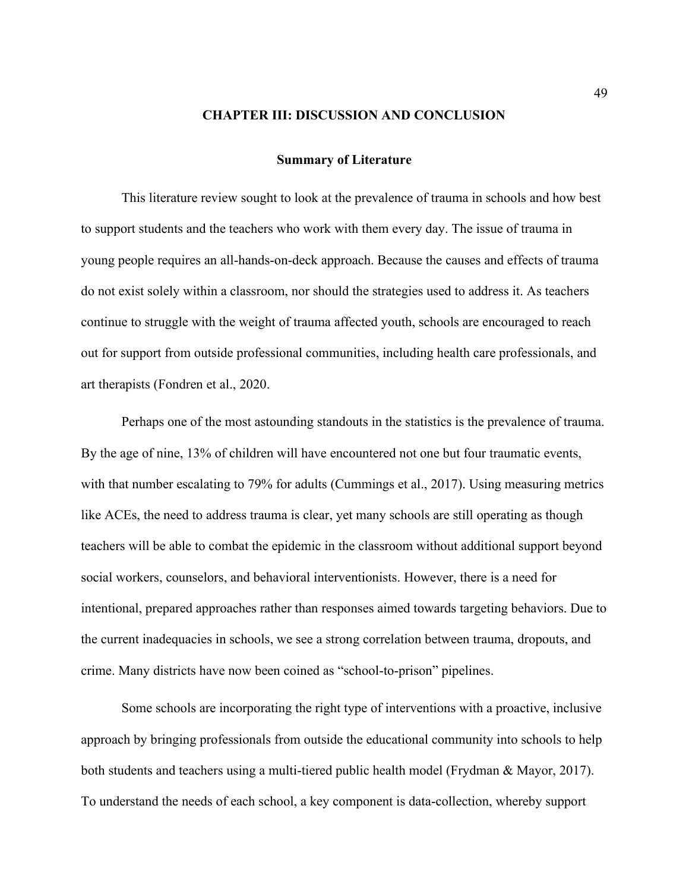#### **CHAPTER III: DISCUSSION AND CONCLUSION**

#### **Summary of Literature**

This literature review sought to look at the prevalence of trauma in schools and how best to support students and the teachers who work with them every day. The issue of trauma in young people requires an all-hands-on-deck approach. Because the causes and effects of trauma do not exist solely within a classroom, nor should the strategies used to address it. As teachers continue to struggle with the weight of trauma affected youth, schools are encouraged to reach out for support from outside professional communities, including health care professionals, and art therapists (Fondren et al., 2020.

Perhaps one of the most astounding standouts in the statistics is the prevalence of trauma. By the age of nine, 13% of children will have encountered not one but four traumatic events, with that number escalating to 79% for adults (Cummings et al., 2017). Using measuring metrics like ACEs, the need to address trauma is clear, yet many schools are still operating as though teachers will be able to combat the epidemic in the classroom without additional support beyond social workers, counselors, and behavioral interventionists. However, there is a need for intentional, prepared approaches rather than responses aimed towards targeting behaviors. Due to the current inadequacies in schools, we see a strong correlation between trauma, dropouts, and crime. Many districts have now been coined as "school-to-prison" pipelines.

Some schools are incorporating the right type of interventions with a proactive, inclusive approach by bringing professionals from outside the educational community into schools to help both students and teachers using a multi-tiered public health model (Frydman & Mayor, 2017). To understand the needs of each school, a key component is data-collection, whereby support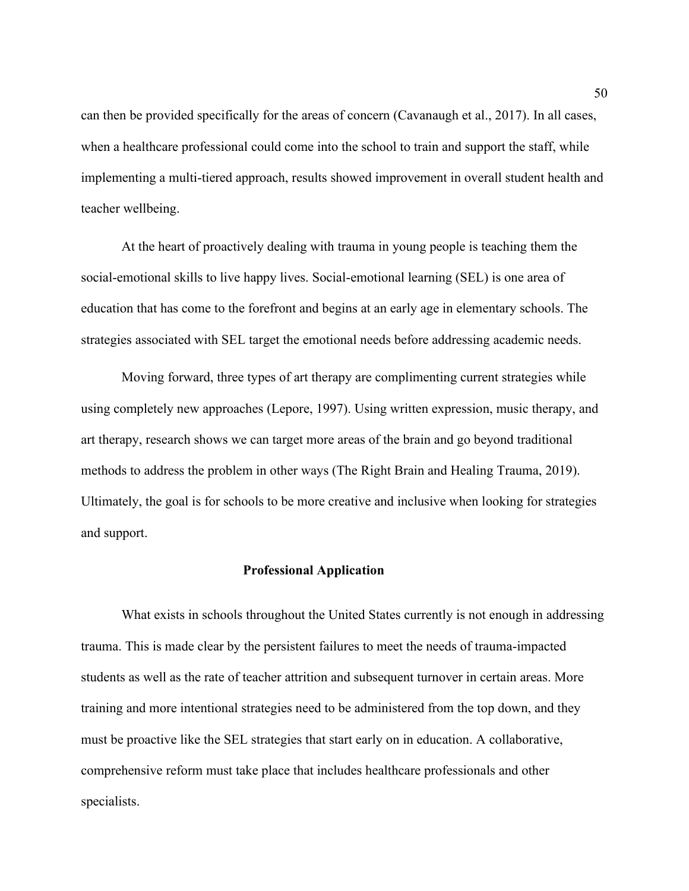can then be provided specifically for the areas of concern (Cavanaugh et al., 2017). In all cases, when a healthcare professional could come into the school to train and support the staff, while implementing a multi-tiered approach, results showed improvement in overall student health and teacher wellbeing.

At the heart of proactively dealing with trauma in young people is teaching them the social-emotional skills to live happy lives. Social-emotional learning (SEL) is one area of education that has come to the forefront and begins at an early age in elementary schools. The strategies associated with SEL target the emotional needs before addressing academic needs.

Moving forward, three types of art therapy are complimenting current strategies while using completely new approaches (Lepore, 1997). Using written expression, music therapy, and art therapy, research shows we can target more areas of the brain and go beyond traditional methods to address the problem in other ways (The Right Brain and Healing Trauma, 2019). Ultimately, the goal is for schools to be more creative and inclusive when looking for strategies and support.

#### **Professional Application**

What exists in schools throughout the United States currently is not enough in addressing trauma. This is made clear by the persistent failures to meet the needs of trauma-impacted students as well as the rate of teacher attrition and subsequent turnover in certain areas. More training and more intentional strategies need to be administered from the top down, and they must be proactive like the SEL strategies that start early on in education. A collaborative, comprehensive reform must take place that includes healthcare professionals and other specialists.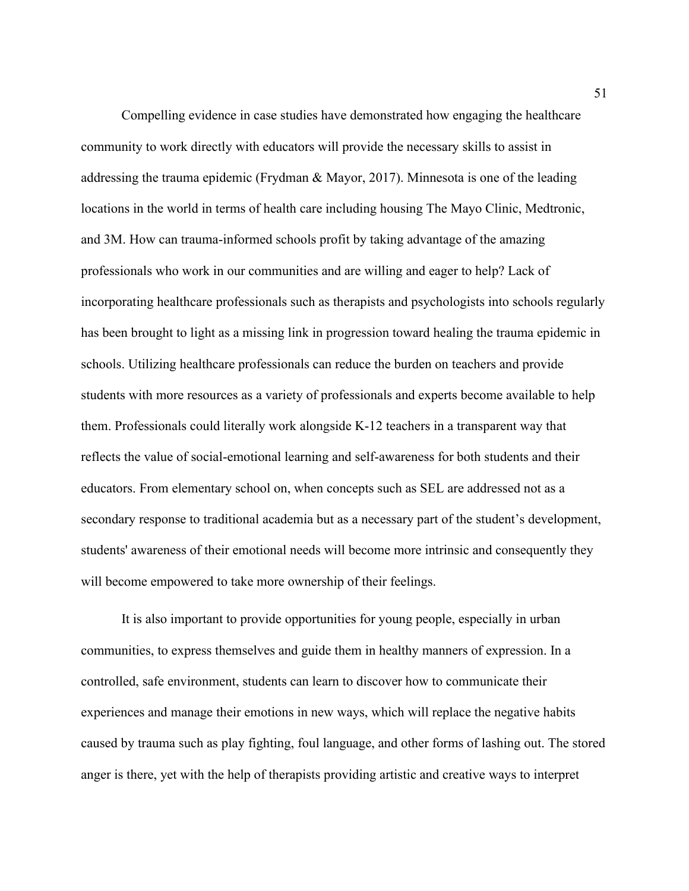Compelling evidence in case studies have demonstrated how engaging the healthcare community to work directly with educators will provide the necessary skills to assist in addressing the trauma epidemic (Frydman & Mayor, 2017). Minnesota is one of the leading locations in the world in terms of health care including housing The Mayo Clinic, Medtronic, and 3M. How can trauma-informed schools profit by taking advantage of the amazing professionals who work in our communities and are willing and eager to help? Lack of incorporating healthcare professionals such as therapists and psychologists into schools regularly has been brought to light as a missing link in progression toward healing the trauma epidemic in schools. Utilizing healthcare professionals can reduce the burden on teachers and provide students with more resources as a variety of professionals and experts become available to help them. Professionals could literally work alongside K-12 teachers in a transparent way that reflects the value of social-emotional learning and self-awareness for both students and their educators. From elementary school on, when concepts such as SEL are addressed not as a secondary response to traditional academia but as a necessary part of the student's development, students' awareness of their emotional needs will become more intrinsic and consequently they will become empowered to take more ownership of their feelings.

It is also important to provide opportunities for young people, especially in urban communities, to express themselves and guide them in healthy manners of expression. In a controlled, safe environment, students can learn to discover how to communicate their experiences and manage their emotions in new ways, which will replace the negative habits caused by trauma such as play fighting, foul language, and other forms of lashing out. The stored anger is there, yet with the help of therapists providing artistic and creative ways to interpret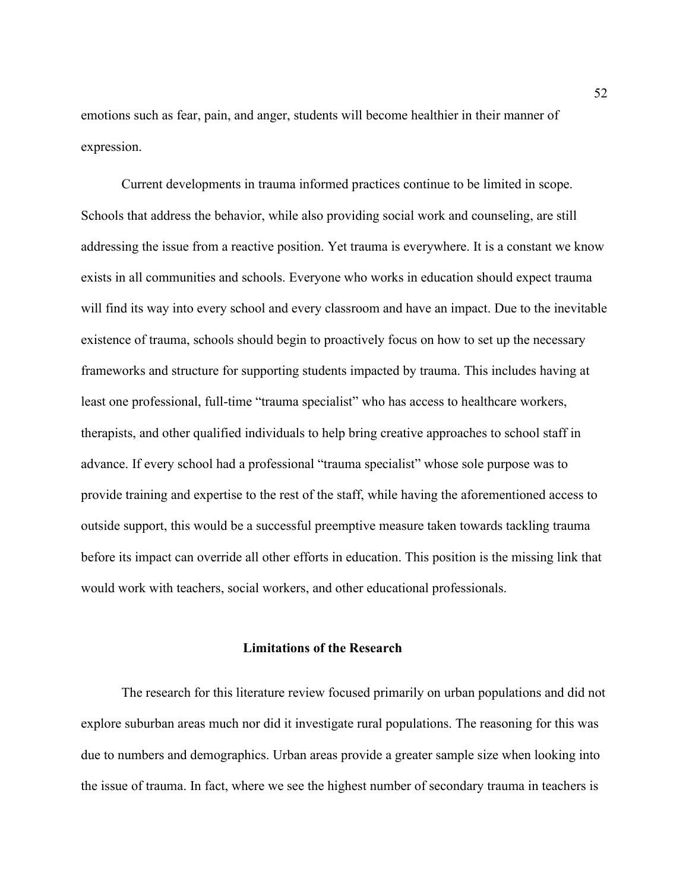emotions such as fear, pain, and anger, students will become healthier in their manner of expression.

Current developments in trauma informed practices continue to be limited in scope. Schools that address the behavior, while also providing social work and counseling, are still addressing the issue from a reactive position. Yet trauma is everywhere. It is a constant we know exists in all communities and schools. Everyone who works in education should expect trauma will find its way into every school and every classroom and have an impact. Due to the inevitable existence of trauma, schools should begin to proactively focus on how to set up the necessary frameworks and structure for supporting students impacted by trauma. This includes having at least one professional, full-time "trauma specialist" who has access to healthcare workers, therapists, and other qualified individuals to help bring creative approaches to school staff in advance. If every school had a professional "trauma specialist" whose sole purpose was to provide training and expertise to the rest of the staff, while having the aforementioned access to outside support, this would be a successful preemptive measure taken towards tackling trauma before its impact can override all other efforts in education. This position is the missing link that would work with teachers, social workers, and other educational professionals.

### **Limitations of the Research**

The research for this literature review focused primarily on urban populations and did not explore suburban areas much nor did it investigate rural populations. The reasoning for this was due to numbers and demographics. Urban areas provide a greater sample size when looking into the issue of trauma. In fact, where we see the highest number of secondary trauma in teachers is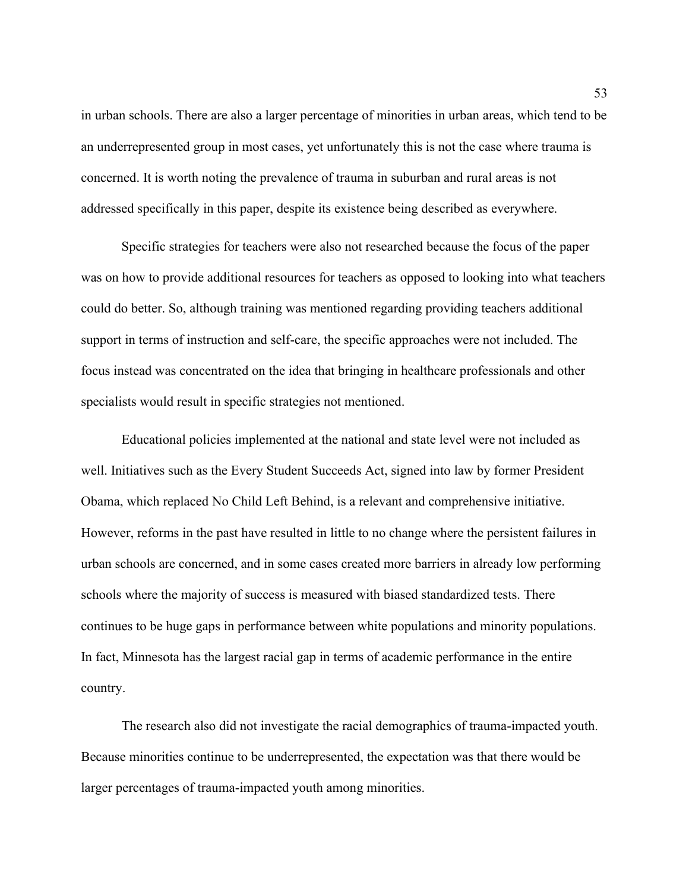in urban schools. There are also a larger percentage of minorities in urban areas, which tend to be an underrepresented group in most cases, yet unfortunately this is not the case where trauma is concerned. It is worth noting the prevalence of trauma in suburban and rural areas is not addressed specifically in this paper, despite its existence being described as everywhere.

Specific strategies for teachers were also not researched because the focus of the paper was on how to provide additional resources for teachers as opposed to looking into what teachers could do better. So, although training was mentioned regarding providing teachers additional support in terms of instruction and self-care, the specific approaches were not included. The focus instead was concentrated on the idea that bringing in healthcare professionals and other specialists would result in specific strategies not mentioned.

Educational policies implemented at the national and state level were not included as well. Initiatives such as the Every Student Succeeds Act, signed into law by former President Obama, which replaced No Child Left Behind, is a relevant and comprehensive initiative. However, reforms in the past have resulted in little to no change where the persistent failures in urban schools are concerned, and in some cases created more barriers in already low performing schools where the majority of success is measured with biased standardized tests. There continues to be huge gaps in performance between white populations and minority populations. In fact, Minnesota has the largest racial gap in terms of academic performance in the entire country.

The research also did not investigate the racial demographics of trauma-impacted youth. Because minorities continue to be underrepresented, the expectation was that there would be larger percentages of trauma-impacted youth among minorities.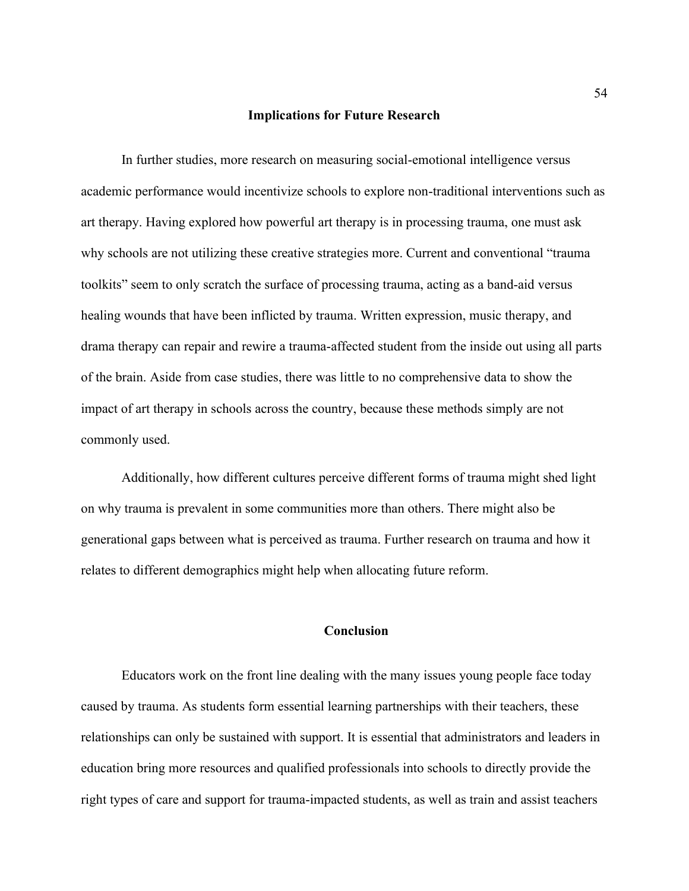#### **Implications for Future Research**

In further studies, more research on measuring social-emotional intelligence versus academic performance would incentivize schools to explore non-traditional interventions such as art therapy. Having explored how powerful art therapy is in processing trauma, one must ask why schools are not utilizing these creative strategies more. Current and conventional "trauma toolkits" seem to only scratch the surface of processing trauma, acting as a band-aid versus healing wounds that have been inflicted by trauma. Written expression, music therapy, and drama therapy can repair and rewire a trauma-affected student from the inside out using all parts of the brain. Aside from case studies, there was little to no comprehensive data to show the impact of art therapy in schools across the country, because these methods simply are not commonly used.

Additionally, how different cultures perceive different forms of trauma might shed light on why trauma is prevalent in some communities more than others. There might also be generational gaps between what is perceived as trauma. Further research on trauma and how it relates to different demographics might help when allocating future reform.

## **Conclusion**

Educators work on the front line dealing with the many issues young people face today caused by trauma. As students form essential learning partnerships with their teachers, these relationships can only be sustained with support. It is essential that administrators and leaders in education bring more resources and qualified professionals into schools to directly provide the right types of care and support for trauma-impacted students, as well as train and assist teachers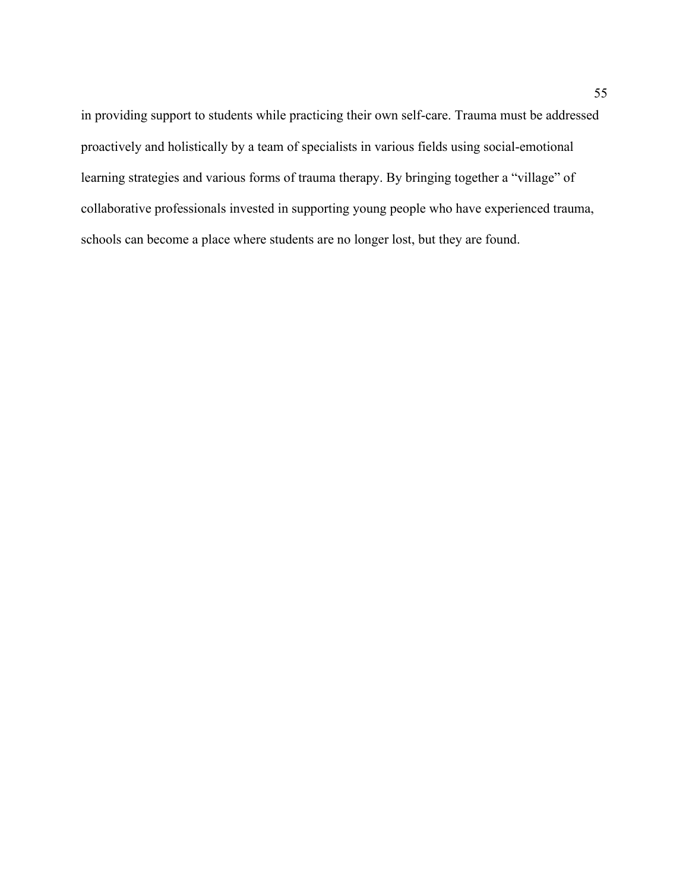in providing support to students while practicing their own self-care. Trauma must be addressed proactively and holistically by a team of specialists in various fields using social-emotional learning strategies and various forms of trauma therapy. By bringing together a "village" of collaborative professionals invested in supporting young people who have experienced trauma, schools can become a place where students are no longer lost, but they are found.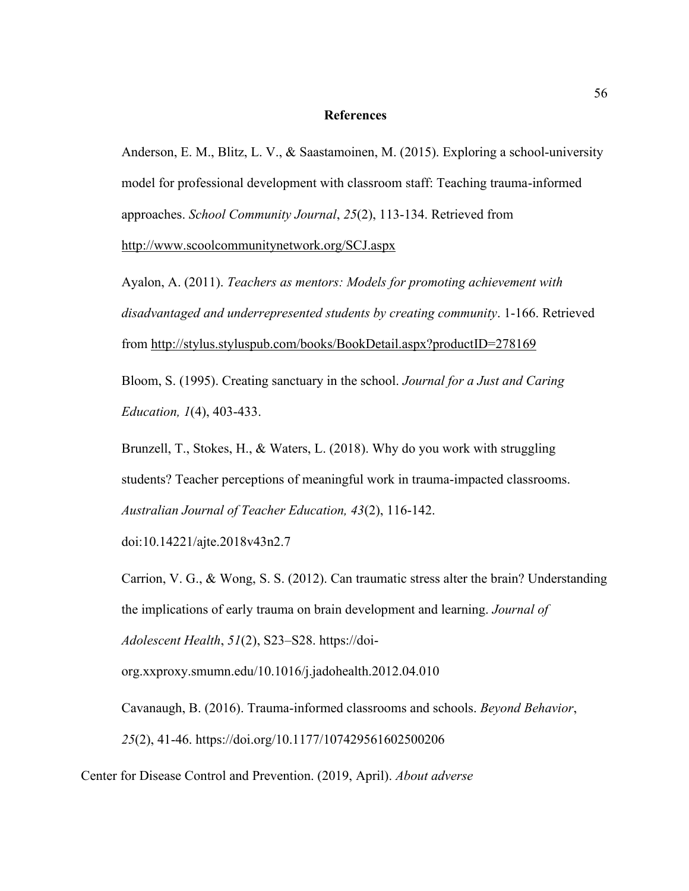#### **References**

Anderson, E. M., Blitz, L. V., & Saastamoinen, M. (2015). Exploring a school-university model for professional development with classroom staff: Teaching trauma-informed approaches. *School Community Journal*, *25*(2), 113-134. Retrieved from

<http://www.scoolcommunitynetwork.org/SCJ.aspx>

Ayalon, A. (2011). *Teachers as mentors: Models for promoting achievement with disadvantaged and underrepresented students by creating community*. 1-166. Retrieved from<http://stylus.styluspub.com/books/BookDetail.aspx?productID=278169>

Bloom, S. (1995). Creating sanctuary in the school. *Journal for a Just and Caring Education, 1*(4), 403-433.

Brunzell, T., Stokes, H., & Waters, L. (2018). Why do you work with struggling students? Teacher perceptions of meaningful work in trauma-impacted classrooms. *Australian Journal of Teacher Education, 43*(2), 116-142.

doi:10.14221/ajte.2018v43n2.7

Carrion, V. G., & Wong, S. S. (2012). Can traumatic stress alter the brain? Understanding the implications of early trauma on brain development and learning. *Journal of Adolescent Health*, *51*(2), S23–S28. https://doi-

org.xxproxy.smumn.edu/10.1016/j.jadohealth.2012.04.010

Cavanaugh, B. (2016). Trauma-informed classrooms and schools. *Beyond Behavior*, *25*(2), 41-46. https://doi.org/10.1177/107429561602500206

Center for Disease Control and Prevention. (2019, April). *About adverse*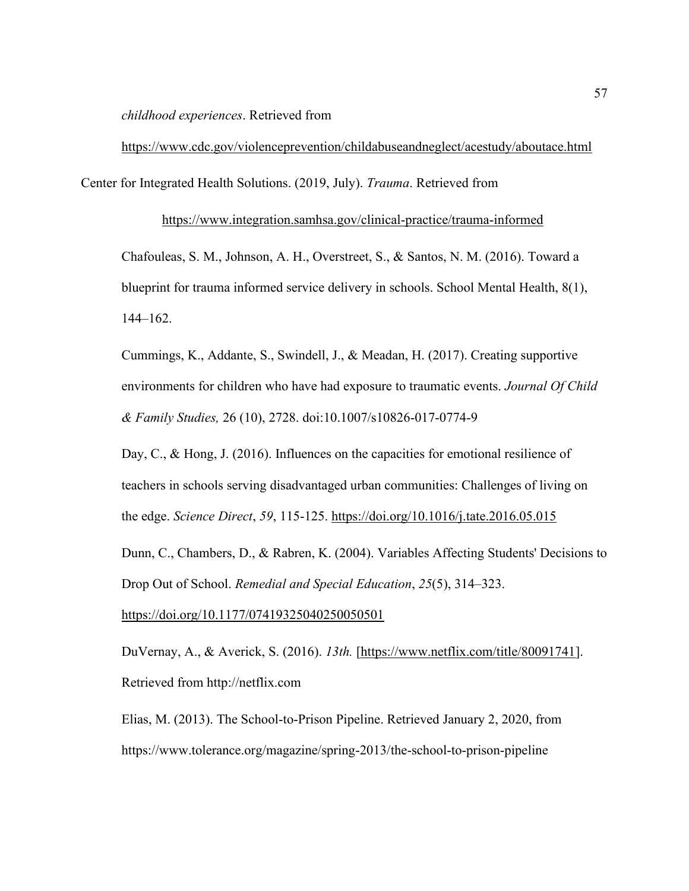*childhood experiences*. Retrieved from

<https://www.cdc.gov/violenceprevention/childabuseandneglect/acestudy/aboutace.html> Center for Integrated Health Solutions. (2019, July). *Trauma*. Retrieved from

<https://www.integration.samhsa.gov/clinical-practice/trauma-informed>

Chafouleas, S. M., Johnson, A. H., Overstreet, S., & Santos, N. M. (2016). Toward a blueprint for trauma informed service delivery in schools. School Mental Health, 8(1), 144–162.

Cummings, K., Addante, S., Swindell, J., & Meadan, H. (2017). Creating supportive environments for children who have had exposure to traumatic events. *Journal Of Child & Family Studies,* 26 (10), 2728. doi:10.1007/s10826-017-0774-9

Day, C., & Hong, J. (2016). Influences on the capacities for emotional resilience of teachers in schools serving disadvantaged urban communities: Challenges of living on the edge. *Science Direct*, *59*, 115-125.<https://doi.org/10.1016/j.tate.2016.05.015>

Dunn, C., Chambers, D., & Rabren, K. (2004). Variables Affecting Students' Decisions to Drop Out of School. *Remedial and Special Education*, *25*(5), 314–323.

<https://doi.org/10.1177/07419325040250050501>

DuVernay, A., & Averick, S. (2016). *13th.* [\[https://www.netflix.com/title/80091741\]](https://www.netflix.com/title/80091741). Retrieved from http://netflix.com

Elias, M. (2013). The School-to-Prison Pipeline. Retrieved January 2, 2020, from https://www.tolerance.org/magazine/spring-2013/the-school-to-prison-pipeline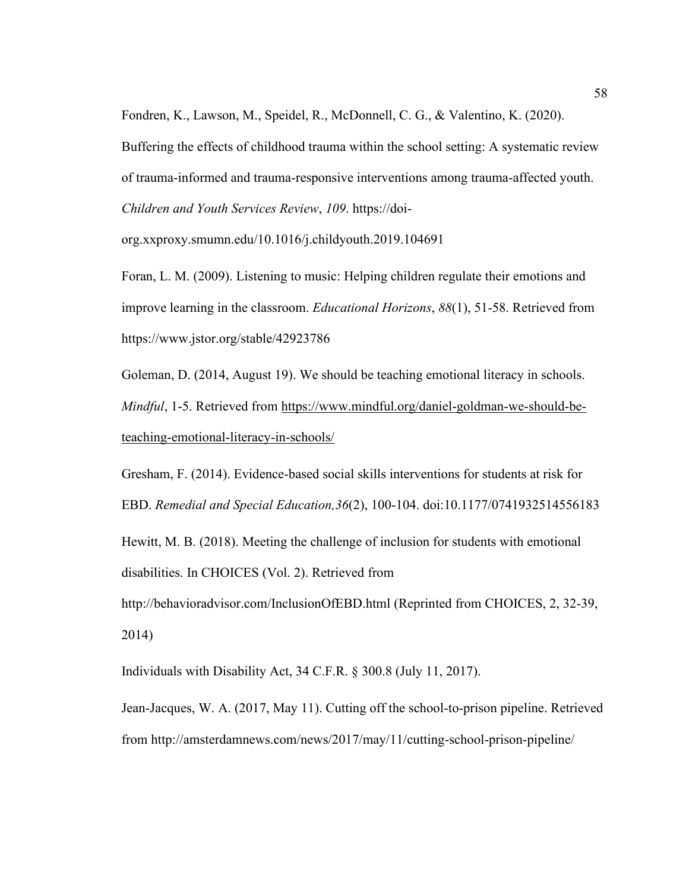Fondren, K., Lawson, M., Speidel, R., McDonnell, C. G., & Valentino, K. (2020).

Buffering the effects of childhood trauma within the school setting: A systematic review of trauma-informed and trauma-responsive interventions among trauma-affected youth. *Children and Youth Services Review*, *109*. https://doi-

org.xxproxy.smumn.edu/10.1016/j.childyouth.2019.104691

Foran, L. M. (2009). Listening to music: Helping children regulate their emotions and improve learning in the classroom. *Educational Horizons*, *88*(1), 51-58. Retrieved from https://www.jstor.org/stable/42923786

Goleman, D. (2014, August 19). We should be teaching emotional literacy in schools. *Mindful*, 1-5. Retrieved from [https://www.mindful.org/daniel-goldman-we-should-be](https://www.mindful.org/daniel-goldman-we-should-be-teaching-emotional-literacy-in-schools/)[teaching-emotional-literacy-in-schools/](https://www.mindful.org/daniel-goldman-we-should-be-teaching-emotional-literacy-in-schools/)

Gresham, F. (2014). Evidence-based social skills interventions for students at risk for EBD. *Remedial and Special Education,36*(2), 100-104. doi:10.1177/0741932514556183

Hewitt, M. B. (2018). Meeting the challenge of inclusion for students with emotional disabilities. In CHOICES (Vol. 2). Retrieved from

http://behavioradvisor.com/InclusionOfEBD.html (Reprinted from CHOICES, 2, 32-39, 2014)

Individuals with Disability Act, 34 C.F.R. § 300.8 (July 11, 2017).

Jean-Jacques, W. A. (2017, May 11). Cutting off the school-to-prison pipeline. Retrieved from http://amsterdamnews.com/news/2017/may/11/cutting-school-prison-pipeline/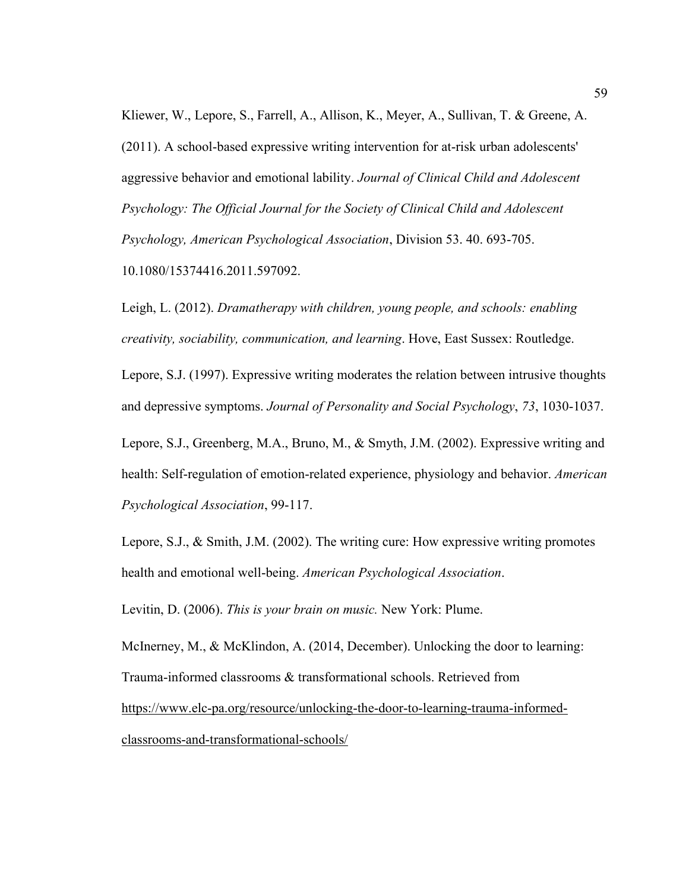Kliewer, W., Lepore, S., Farrell, A., Allison, K., Meyer, A., Sullivan, T. & Greene, A. (2011). A school-based expressive writing intervention for at-risk urban adolescents' aggressive behavior and emotional lability. *Journal of Clinical Child and Adolescent Psychology: The Official Journal for the Society of Clinical Child and Adolescent Psychology, American Psychological Association*, Division 53. 40. 693-705. 10.1080/15374416.2011.597092.

Leigh, L. (2012). *Dramatherapy with children, young people, and schools: enabling creativity, sociability, communication, and learning*. Hove, East Sussex: Routledge.

Lepore, S.J. (1997). Expressive writing moderates the relation between intrusive thoughts and depressive symptoms. *Journal of Personality and Social Psychology*, *73*, 1030-1037.

Lepore, S.J., Greenberg, M.A., Bruno, M., & Smyth, J.M. (2002). Expressive writing and health: Self-regulation of emotion-related experience, physiology and behavior. *American Psychological Association*, 99-117.

Lepore, S.J., & Smith, J.M. (2002). The writing cure: How expressive writing promotes health and emotional well-being. *American Psychological Association*.

Levitin, D. (2006). *This is your brain on music.* New York: Plume.

McInerney, M., & McKlindon, A. (2014, December). Unlocking the door to learning: Trauma-informed classrooms & transformational schools. Retrieved from [https://www.elc-pa.org/resource/unlocking-the-door-to-learning-trauma-informed](https://www.elc-pa.org/resource/unlocking-the-door-to-learning-trauma-informed-classrooms-and-transformational-schools/)[classrooms-and-transformational-schools/](https://www.elc-pa.org/resource/unlocking-the-door-to-learning-trauma-informed-classrooms-and-transformational-schools/)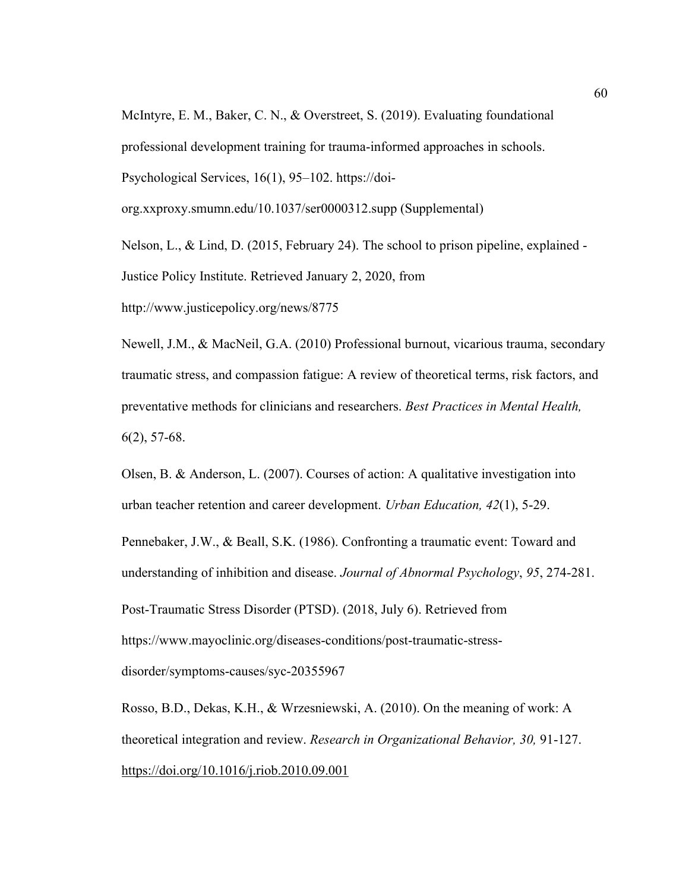McIntyre, E. M., Baker, C. N., & Overstreet, S. (2019). Evaluating foundational professional development training for trauma-informed approaches in schools. Psychological Services, 16(1), 95–102. https://doiorg.xxproxy.smumn.edu/10.1037/ser0000312.supp (Supplemental)

Nelson, L., & Lind, D. (2015, February 24). The school to prison pipeline, explained - Justice Policy Institute. Retrieved January 2, 2020, from http://www.justicepolicy.org/news/8775

Newell, J.M., & MacNeil, G.A. (2010) Professional burnout, vicarious trauma, secondary traumatic stress, and compassion fatigue: A review of theoretical terms, risk factors, and preventative methods for clinicians and researchers. *Best Practices in Mental Health,*  6(2), 57-68.

Olsen, B. & Anderson, L. (2007). Courses of action: A qualitative investigation into urban teacher retention and career development. *Urban Education, 42*(1), 5-29.

Pennebaker, J.W., & Beall, S.K. (1986). Confronting a traumatic event: Toward and understanding of inhibition and disease. *Journal of Abnormal Psychology*, *95*, 274-281. Post-Traumatic Stress Disorder (PTSD). (2018, July 6). Retrieved from https://www.mayoclinic.org/diseases-conditions/post-traumatic-stressdisorder/symptoms-causes/syc-20355967

Rosso, B.D., Dekas, K.H., & Wrzesniewski, A. (2010). On the meaning of work: A theoretical integration and review. *Research in Organizational Behavior, 30,* 91-127. https://doi.org/10.1016/j.riob.2010.09.001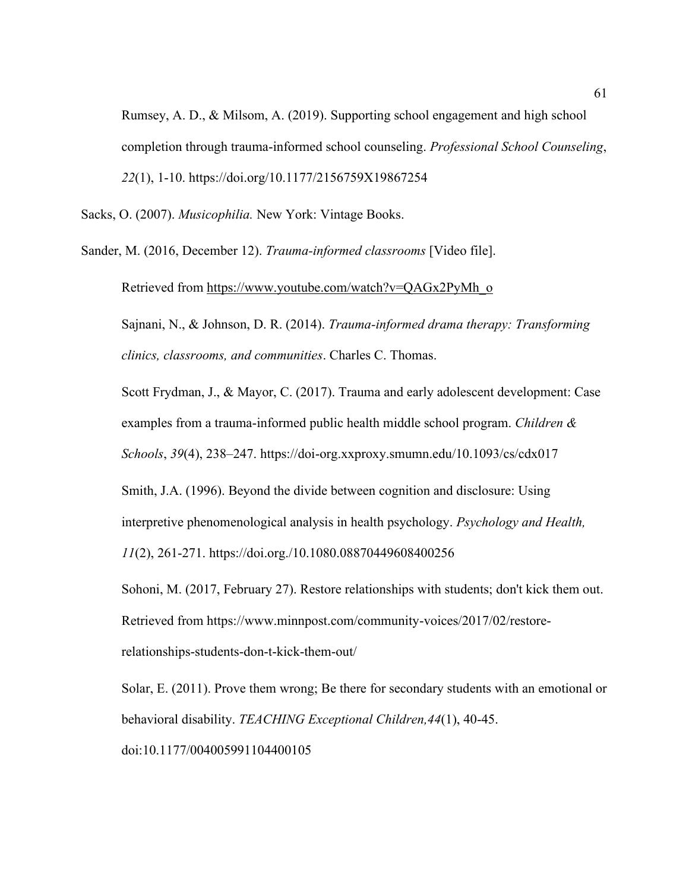Rumsey, A. D., & Milsom, A. (2019). Supporting school engagement and high school completion through trauma-informed school counseling. *Professional School Counseling*, *22*(1), 1-10. https://doi.org/10.1177/2156759X19867254

Sacks, O. (2007). *Musicophilia.* New York: Vintage Books.

Sander, M. (2016, December 12). *Trauma-informed classrooms* [Video file].

Retrieved from [https://www.youtube.com/watch?v=QAGx2PyMh\\_o](https://www.youtube.com/watch?v=QAGx2PyMh_o)

Sajnani, N., & Johnson, D. R. (2014). *Trauma-informed drama therapy: Transforming clinics, classrooms, and communities*. Charles C. Thomas.

Scott Frydman, J., & Mayor, C. (2017). Trauma and early adolescent development: Case examples from a trauma-informed public health middle school program. *Children & Schools*, *39*(4), 238–247. https://doi-org.xxproxy.smumn.edu/10.1093/cs/cdx017

Smith, J.A. (1996). Beyond the divide between cognition and disclosure: Using interpretive phenomenological analysis in health psychology. *Psychology and Health, 11*(2), 261-271.<https://doi.org./10.1080.08870449608400256>

Sohoni, M. (2017, February 27). Restore relationships with students; don't kick them out. Retrieved from https://www.minnpost.com/community-voices/2017/02/restorerelationships-students-don-t-kick-them-out/

Solar, E. (2011). Prove them wrong; Be there for secondary students with an emotional or behavioral disability. *TEACHING Exceptional Children,44*(1), 40-45. doi:10.1177/004005991104400105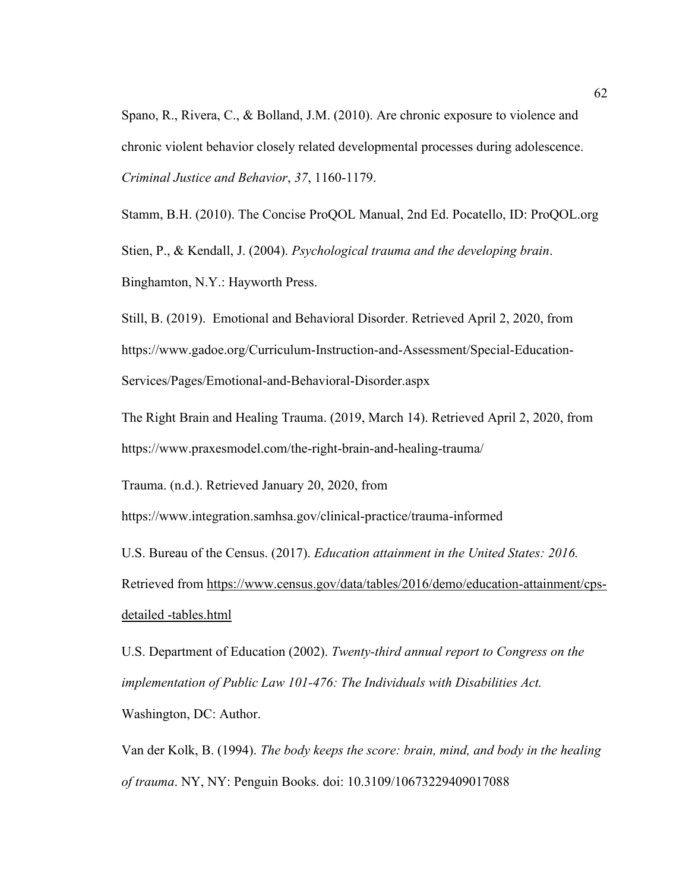Spano, R., Rivera, C., & Bolland, J.M. (2010). Are chronic exposure to violence and chronic violent behavior closely related developmental processes during adolescence. *Criminal Justice and Behavior*, *37*, 1160-1179.

Stamm, B.H. (2010). The Concise ProQOL Manual, 2nd Ed. Pocatello, ID: ProQOL.org Stien, P., & Kendall, J. (2004). *Psychological trauma and the developing brain*. Binghamton, N.Y.: Hayworth Press.

Still, B. (2019). Emotional and Behavioral Disorder. Retrieved April 2, 2020, from https://www.gadoe.org/Curriculum-Instruction-and-Assessment/Special-Education-Services/Pages/Emotional-and-Behavioral-Disorder.aspx

The Right Brain and Healing Trauma. (2019, March 14). Retrieved April 2, 2020, from https://www.praxesmodel.com/the-right-brain-and-healing-trauma/

Trauma. (n.d.). Retrieved January 20, 2020, from

https://www.integration.samhsa.gov/clinical-practice/trauma-informed

U.S. Bureau of the Census. (2017). *Education attainment in the United States: 2016.*  Retrieved from [https://www.census.gov/data/tables/2016/demo/education-attainment/cps](https://www.census.gov/data/tables/2016/demo/education-attainment/cps-detailed-tables.html)[detailed](https://www.census.gov/data/tables/2016/demo/education-attainment/cps-detailed-tables.html) [-tables.html](https://www.census.gov/data/tables/2016/demo/education-attainment/cps-detailed-tables.html)

U.S. Department of Education (2002). *Twenty-third annual report to Congress on the implementation of Public Law 101-476: The Individuals with Disabilities Act.*  Washington, DC: Author.

Van der Kolk, B. (1994). *The body keeps the score: brain, mind, and body in the healing of trauma*. NY, NY: Penguin Books. doi: 10.3109/10673229409017088